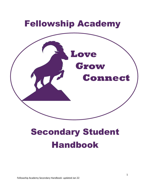

# Secondary Student Handbook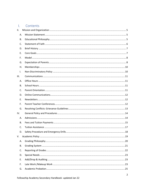#### $\mathbf{L}$ Contents

| II. |  |
|-----|--|
| А.  |  |
| В.  |  |
| C.  |  |
| D.  |  |
| Е.  |  |
| F.  |  |
| G.  |  |
| Η.  |  |
| I.  |  |
| Ш.  |  |
| А.  |  |
| В.  |  |
| C.  |  |
| D.  |  |
| Ε.  |  |
| F.  |  |
| G.  |  |
| IV. |  |
| А.  |  |
| В.  |  |
| C.  |  |
| D.  |  |
| V.  |  |
| А.  |  |
| В.  |  |
| C.  |  |
| D.  |  |
| Ε.  |  |
| F.  |  |
| G.  |  |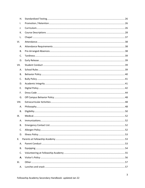| H.    |  |
|-------|--|
| I.    |  |
| J.    |  |
| К.    |  |
| L.    |  |
| VI.   |  |
| Α.    |  |
| В.    |  |
| C.    |  |
| D.    |  |
| VII.  |  |
| Α.    |  |
| В.    |  |
| C.    |  |
| D.    |  |
| Е.    |  |
| F.    |  |
| G.    |  |
| VIII. |  |
| Α.    |  |
| В.    |  |
| IX.   |  |
| Α.    |  |
| В.    |  |
| C.    |  |
| D.    |  |
| Х.    |  |
| Α.    |  |
| В.    |  |
| C.    |  |
| Α.    |  |
| XI.   |  |
| Α.    |  |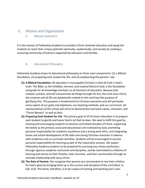# <span id="page-4-1"></span><span id="page-4-0"></span>II. Mission and Organization

## A. Mission Statement

It is the mission of Fellowship Academy to provide a Christ centered education and equip the students to reach their unique potential spiritually, academically, and socially by creating a nurturing community of learners supported by educators and families.

# <span id="page-4-2"></span>B. Educational Philosophy

Fellowship Academy bases its educational philosophy on three main components: (1) a Biblical foundation, (2) preparing each student for life, and (3) emphasizing the parents' role.

- **(1) A Biblical Foundation**: All education is inescapably Christian in that all truth is God's truth. The Bible, as the infallible, inerrant, and inspired Word of God, is the foundation and guide for all knowledge and basic to all elements of education. Because God created, sustains, and will consummate all things through His Son, the Lord Jesus Christ, the universe and all life are dynamically related to Him and have the purpose of glorifying Him. This purpose is fundamental to Christian education and will permeate every aspect of our goals and objectives, our teaching methods, and our curriculum. All representatives of the school will strive to demonstrate and teach values, character, and "Christ-likeness" as well as facts.
- **(2) Preparing Each Student for Life**: The primary goal of all Christian education is to prepare each student to glorify and honor God in all that he does. We seek to fulfill this goal by: training and encouraging students to become committed disciples of Christ, supporting the family as the primary social and educational unit instituted by God, promoting personal responsibility for academic excellence and a strong work ethic, and integrating home and school development of life skills and strong Christian character in balance with academics and co-curricular activities. Students will be encouraged to assume personal responsibility for learning as part of the maturation process. We expect Fellowship Academy students to be prepared for pursuing any chosen profession, through rigorous academic instruction and discipline, and be committed to a lifetime of learning and service to their families, their churches, and their communities through an intimate relationship with Jesus Christ.
- **(3) The Role of Parents**: We recognize that parents are commanded to rear their children for God's glory by bringing them up in the nurture and discipline of the Lord (Deut. 6; Eph. 6:4). The home, therefore, is to be a place of training and teaching one's own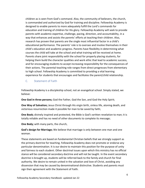children as is seen from God's command. Also, the community of believers, the church, is commanded and authorized by God for training and discipline. Fellowship Academy is designed to enable parents to more adequately fulfill the Lord's commands for education and training of children for His glory. Fellowship Academy will seek to provide parents with academic expertise, challenge, pacing, direction, and accountability, in a way that enhances and assists the parents' efforts at teaching their children. Also, research has proven that parents are the single most influential factor in a child's educational performance. The parents' role is to oversee and involve themselves in their child's education and academic progress. Parents have flexibility in determining what courses the child will take at the school and what training will be received at home. Parents share joint responsibility with the school for properly placing students, for helping them build the character qualities and work ethic that lead to academic success, and for encouraging students to accept increasing responsibility for the consequences of their actions. The parental teaching role ranges from direct progresses from elementary to high school. Fellowship Academy is committed to providing a vital learning experience for students that encourages and facilitates the parent/child relationship.

<span id="page-5-0"></span>C. Statement of Faith

Fellowship Academy is a discipleship school, not an evangelical school. Simply stated, we believe:

**One God in three persons;** God the Father, God the Son, and God the Holy Spirit;

**One Way of Salvation;** Jesus Christ through His virgin birth, sinless life, atoning death, and victorious resurrection made it possible for man to be saved by faith;

**One Book;** divinely inspired and protected, the Bible is God's written revelation to man; it is totally reliable and has no need of other documents to complete its message;

**One Body;** with many parts, the church,

**God's design for Marriage;** We believe that marriage is only between one man and one woman.

These statements are based on fundamental Christian beliefs that we strongly support as the primary doctrine for teaching. Fellowship Academy does not promote or endorse any particular denomination. It is our desire to maintain this position for the purpose of unity and fairness to each student. Other doctrinal issues upon which this ministry has no official stance will be considered secondary doctrine and will not be taught. In the event secondary doctrine is brought up, students will be referred back to the family and church for final authority. We desire to remain united in the salvation and love of Christ, avoiding any dissension that may be caused by denominational distinctive. Students and parents must sign their agreement with the Statement of Faith.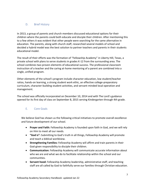# <span id="page-6-0"></span>D. Brief History

In 2013, a group of parents and church members discussed educational options for their children where the parents could both educate and disciple their children. After mentioning this to a few others it was evident that other people were searching for the same alternative in education. The parents, along with church staff, researched several models of school and decided a hybrid model was the best solution to partner teachers and parents in their students educational model.

The result of their efforts was the formation of "Fellowship Academy" in Liberty Hill, Texas, a private school with plans to serve students in grades K-12 from the surrounding area. The school combines two proven elements of educational success. The professional classroom instruction of a teacher and the caring at-home mentoring of a parent are combined into a single, unified program.

Other elements of the school's program include character education, low student/teacher ratios, hands-on learning, a strong student work ethic, an effective college-preparatory curriculum, character-building student activities, and servant-minded local operation and management.

The school was officially incorporated on December 10, 2014 and with The Lord's guidance opened for its first day of class on September 8, 2015 serving Kindergarten through 4th grade.

## <span id="page-6-1"></span>E. Core Goals

We believe God has shown us the following critical initiatives to promote overall excellence and future development of our school.

- **Prayer and Faith:** Fellowship Academy is founded upon faith in God, and we will rely on Him to meet all our needs.
- **"God is":** Submitting to God's truth in all things, Fellowship Academy will promote and teach a biblical worldview.
- **Strengthening Families:** Fellowship Academy will affirm and train parents in their God-given responsibility to disciple their children.
- **Communication:** Fellowship Academy will communicate accurate information about who we are and what we do to facilitate relationship within the school and our communities.
- **Servant hood:** Fellowship Academy leadership, administrative staff, and teaching staff are all called by God to faithfully serve our families through Christian education.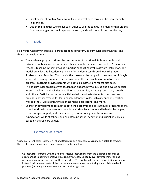- **Excellence:** Fellowship Academy will pursue excellence through Christian character in all things.
- **Use of the Tongue:** We expect each other to use the tongue in a manner that praises God, encourages and heals, speaks the truth, and seeks to build and not destroy.

# <span id="page-7-0"></span>F. Model

Fellowship Academy includes a rigorous academic program, co-curricular opportunities, and character development.

- The academic program utilizes the best aspects of traditional, full-time public and private schools, as well as home schools, and molds them into one model. Professional teachers teaching in their areas of expertise conduct central classroom instruction. The model provides a full academic program for Kindergarten through twelfth grades. Students spend Monday- Thursday in the classroom learning with their teacher. Fridayis an off-site learning day where parents continue their instruction or monitor student progress. Teachers provide parents with detailed instructions for off-site days.
- The co-curricular program gives students an opportunity to pursue and develop special interests, talents, and abilities in addition to academics, including sports, art, speech, and others. Participation in these activities helps motivate students to succeed and provides another avenue for learning important life skills, such as teamwork, relating well to others, work ethic, time management, goal setting, and more.
- Character development permeates both the academic and co-curricular programs as the school works with the parents to reinforce Christ-like attitude and behavior by helping to encourage, support, and train parents; by reinforcing parental values and expectations while at school; and by enforcing school behavior and discipline policies based on shared core values.

# <span id="page-7-1"></span>G. Expectation of Parents

Academic Parent Roles- Below is a list of different roles a parent may assume as a satellite teacher. These roles may change based on assignments and grade level.

Co-Instructor - Parents with this role will receive instructions from the classroom teacher on a regular basis outlining homework assignments, follow-up study over covered material, and preparation or review needed for their next class. They will also bear the responsibility for support instruction in some aspects of the course, such as math, and monitoring their child's academic progress (including the timely submission of all assignments).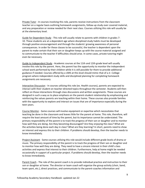Private Tutor - In courses involving this role, parents receive instructions from the classroom teacher on a regular basis outlining homework assignments, follow-up study over covered material, and any preparation or review needed for their next class. Courses utilizing this role will usually be at the elementary level.

Guide for Dependent Study - This role will usually relate to parents with children in grades 7- 10. These students are at a dependent age where disciplined study habits must be developed through positive encouragement and through the students' growing awareness of personal consequences. In order for these classes to be successful, the teacher is dependent upon the parent to make certain that their son or daughter keeps up with the course material assigned and to communicate to the teacher if difficulties should arise. In some cases, private tutoring might even be necessary.

Guide to Independent Study - Academic courses at the 11th and 12th grade level will usually involve this role by the parent. Here, the parent has the opportunity to monitor the independent school work performed by their children while it is still possible for them to provide additional guidance if needed. Courses offered by a UMS at this level should mimic that of a Jr. College program where independent study skills and disciplined planning for completing homework assignments are necessary.

Interactive Discussion - In courses utilizing this role (ex. Health courses), parents are expected to interact with their student on teacher-directed topics throughout the semester. Students will then reflect on those interactions through class discussions and written assignments. These courses are designed in such a way as to place emphasis on the parent-student relationship by emphasizing and reinforcing the values parents are teaching within their home. These courses also provide families with the opportunity to explore and interact on issues that are of importance especially during the teen years.

Course Monitor - Some courses will involve equipment or expertise which necessitates that teaching be done in the classroom and leaves little for the parent at home. This role, therefore, will require the least amount of time by the parent, but its importance cannot be understated. The primary responsibility of the parent is to track the progress of their son or daughter and to monitor how well they are doing. Are they becoming discouraged? Are they enjoying the class? What are the activities being done each day in class? What are they learning? In short, parents need to show an interest and express this to their children. If problems should develop, then the teacher needs to know immediately.

Project Assistant - Some courses utilizing this role would include different grade levels of drama or music. The primary responsibility of the parent is to track the progress of their son or daughter and to monitor how well they are doing. They need to have a sincere interest in their child's class activities and express that interest to their children. Furthermore, help at home might be needed occasionally in support of a particular project. If problems should develop, then the teacher needs to know immediately.

Parent Coach - The role of the parent coach is to provide individual practice and instruction to their son or daughter at home. The director or team coach will organize the group activity (choir, band, team sport, etc.), direct practices, and communicate to the parent-coaches information and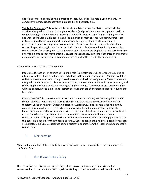directions concerning regular home practice on individual skills. This role is used primarily for competitive extracurricular activities in grades 1-8 and possibly 9-10.

The Active Supporter - This parental role usually involves competitive class or extracurricular activities designed for 11th and 12th grade students (and possibly 9th and 10th grade as well). In competitive high school programs preparing students for college, conditioning training, practice, and work on individual skills goes beyond the expertise of most parents. As a result, parents are instead required to actively support their children through regular attendance at games, performances, and even at practices or rehearsals. Parents are also encouraged to show their support by participating in booster club activities that usually play a vital role in supporting high school extracurricular programs. At a time when older students are beginning to increase their time away from home as they move gradually toward independence, high school athletics offers parents a regular avenue through which to remain an active part of their child's life and interests.

## Parent Expectation -Character Development

Interactive Discussion - In courses utilizing this role (ex. Health courses), parents are expected to interact with their student on teacher-directed topics throughout the semester. Students will then reflect on those interactions through class discussions and written assignments. These courses are designed in such a way as to place emphasis on the parent-student relationship by emphasizing and reinforcing the values parents are teaching within their home. These courses also provide families with the opportunity to explore and interact on issues that are of importance especially during the teen years.

Primary Teacher/Disciples – Parents will serve as a discussion leader, teacher and guide as their student explores topics that are "parent-friendly" and that focus on biblical studies, Christian theology, Christian ministry, Christian missions or worldviews. Since this role is for home study courses, parents will be given instructions on how to evaluate their student on time spent, knowledge gained, and how the student will use the material in strengthening his or her walk with Christ. The school will provide an evaluation form for parents to use at the end of each semester. Additionally, parent workshops will be available to encourage and equip parents so that this course is a benefit for the student and family. Courses utilizing this role will extend from grades 1-12. (Note: families may substitute some discipleship courses from their local church to meet this requirement.)

## <span id="page-9-0"></span>H. Memberships

Membership on behalf of this school into any school organization or association must be approved by the School Board.

## <span id="page-9-1"></span>I. Non-Discriminatory Policy

The school does not discriminate on the basis of race, color, national and ethnic origin in the administration of its student admissions policies, staffing policies, educational policies, scholarship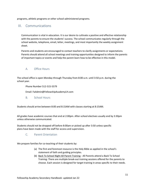programs, athletic programs or other school-administered programs.

# <span id="page-10-0"></span>III. Communications

Communication is vital in education. It is our desire to cultivate a positive and effective relationship with the parents to ensure the students' success. The school communicates regularly through the school website, telephone, email, letter, meetings, and most importantly the weekly assignment sheet.

Parents and students are encouraged to contact teachers to clarify assignments or expectations. Parents should attend all school meetings and training opportunities designed to inform the parents of important topics or events and help the parent learn how to be effective in this model.

## <span id="page-10-1"></span>A. Office Hours

The school office is open Monday through Thursday from 8:00 a.m. until 3:50 p.m. during the school year.

Phone Number 512-515-5579

Email: FaAdmin@FellowshipAcademyLH.com

<span id="page-10-2"></span>B. School Hours

Students should arrive between 8:00 and 8:15AM with classes starting at 8:15AM.

All grades have academic courses that end at 2:00pm. After-school electives usually end by 3:30pm unless otherwise communicated.

<span id="page-10-3"></span>Students should not be dropped off before 8:00am or picked up after 3:50 unless specific plans have been made with the staff for access and supervision.

## C. Parent Orientation

We prepare families for co-teaching of their students by:

- (a) The first and foremost resource is the Holy Bible as applied in the school's statement of faith and guiding principles.
- (b) Back To School Night All Parent Training All Parents attend a Back To School Training: There are multiple break-out training sessions offered for the parents to choose. Each session is designed for target training in areas specific to their needs.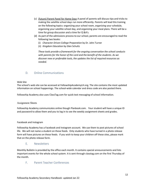- (c) (future) Parent Panel for Home Days A panel of parents will discuss tips and tricks to making the satellite school days run more efficiently. Parents will lead this training on the following topics: organizing your school room, organizing your schedule, organizing your satellite school day, and organizing your meal plans. There will be a time for group discussion and a time for Q &A's.
- (d) As part of the admissions process to our school, parents are encouraged to read the following two books:
	- (i) *Character Driven College Preparation* by Dr. John Turner
	- (ii) *Kingdom Education* by Glen Schultz

*These tools provide a framework for the ongoing conversation the school conducts with parents for the honor of the Lord and the benefit of the students. As we discover new or preferable tools, the updates the list of required resources as needed.*

## <span id="page-11-0"></span>D. Online Communications

### Web Site

The school's web site can be accessed at FellowshipAcademyLH.org. The site contains the most updated information on school happenings. The school-wide calendar and dress code are also posted there.

Fellowship Academy also uses ClassTag.com for quick text messaging of school information.

### Assignment Sheets

Fellowship Academy communicates online though Planbook.com. Your student will have a unique ID and password to allow them and you to log in to see the weekly assignment sheets and grades.

### Facebook and Instagram

Fellowship Academy has a Facebook and Instagram account. We use them to post pictures of school life. We will not name a student on these feeds. Only students who have turned in a photo release form will have pictures on these feeds. If you wish to keep your children off these sites, please mark that on the photo release form.

## E. Newsletters

<span id="page-11-1"></span>Monthly Bulletin is provided by the office each month. It contains special announcements and lists important events for the whole school system. It is sent through classtag.com on the first Thursday of the month.

## <span id="page-11-2"></span>F. Parent Teacher Conferences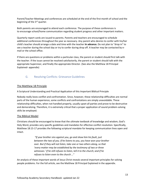Parent/Teacher Meetings and conferences are scheduled at the end of the first month of school and the beginning of the 3rd quarter.

Both parents are encouraged to attend each conference. The purpose of these conferences is to encourage school/home communication regarding student progress and other important matters.

Quarterly report cards are issued to parents. Parents and teachers are encouraged to schedule additional conferences throughout the year as necessary. Any parent who desires to confer with his/her child's teacher should arrange a date and time with the teacher **in advance.** Do not plan to "drop in" to see a teacher during the school day or try to confer during drop off. A teacher may be contacted by email or the school office.

If there are questions or problems within a particular class, the parent or student should first talk with the teacher. If the issue cannot be resolved satisfactorily, the parent or student should talk with the appropriate Supervisor, and finally the appropriate Director. (See also the Matthew 18 Principal Explained- appendix)

# <span id="page-12-0"></span>G. Resolving Conflicts: Grievance Guidelines

## The Matthew 18 Principle

A Scriptural Understanding and Practical Application of this Important Biblical Principle

Nobody really loves conflict and confrontation. Since, however, these relationship difficulties are normal parts of the human experience, some conflicts and confrontations are simply unavoidable. These relationship difficulties, when not handled properly, usually upset all parties and prove to be destructive and demoralizing. Therefore, it is extremely critical that a proper application of sound problem-solving skills be employed.

### The Biblical Model

Christians should be encouraged to know that the ultimate textbook of knowledge and wisdom, God's Holy Word, provides very specific guidelines and mandates for effective conflict resolution. Specifically, Matthew 18:15-17 provides the following scriptural mandate for keeping communication lines open and intact.

> *"If your brother sins against you, go and show him his fault, just between the two of you. If he listens to you, you have won your brother over. But if they will not listen, take one or two others along, so that 'every matter may be established by the testimony of two or three witnesses.' If he still refuses to listen, tell it to the church; and if he refuses to listen even to the church …"*

An analysis of these important words of Jesus Christ reveals several important principles for solving people problems. For the full article, see the Matthew 18 Principal Explained in the appendix.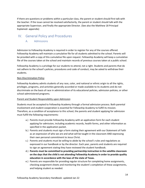If there are questions or problems within a particular class, the parent or student should first talk with the teacher. If the issue cannot be resolved satisfactorily, the parent or student should talk with the appropriate Supervisor, and finally the appropriate Director. (See also the Matthew 18 Principal Explained- appendix)

# <span id="page-13-1"></span><span id="page-13-0"></span>IV. General Policy and Procedures

## A. Admissions

Admission to Fellowship Academy is required in order to register for any of the courses offered. Fellowship Academy will maintain a cumulative file for all students admitted to the school. Parents will be provided with a copy of this cumulative file upon request. Fellowship Academy will keep a cumulative file of the courses taken at the school and maintain records of previous courses taken at a public school.

Fellowship Academy is a privilege for our students to attend, not a right. Students and parents that do not adhere to the school's policies, procedures and code of conduct, may be asked to withdraw their students.

### Non-Discrimination Policy

Fellowship Academy admits students of any race, color, and national or ethnic origin to all the rights, privileges, programs, and activities generally accorded or made available to its students and do not discriminate on the basis of race in administration of its educational policies, admission policies, or other school-administered programs.

### Parent and Student Responsibility upon Admission

Students must be accepted to Fellowship Academy through a formal admission process. Both parental involvement and student cooperation is essential for Fellowship Academy to fulfill its mission. Therefore, as a condition of acceptance to this school, the parents and student applying for admission must fulfill the following requirements:

- a.) Parents must provide Fellowship Academy with an application form for each student applying for admission, including academic records, health forms, and other information as specified in the application packet.
- b.) Parents and students must sign a form stating their agreement with our Statement of Faith as an expression of who we are and what will be taught in the classroom AND expressing their own personal commitment to Jesus Christ.
- c.) Parents and students must be willing to abide by the school's rules and regulations as expressed in our handbook or by the director. Each year, parents and students are required to sign an agreement stating they have reviewed the student handbook.
- d.) **Parents must be committed to providing partnership instruction in the satellite classroom on the days that the child is not attending Fellowship Academy in order to provide quality education in accordance with the laws of the state of Texas.**
- e.) Parents are responsible for providing regular structure for completing home assignments, checking assignment sheets and monitoring the student's completion of these assignments, and helping student as needed.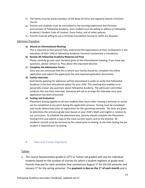- f.) The family must be active members of the Body of Christ and regularly attend a Christian church.
- g.) Parents and students must be committed to the learning experience and Christian environment of Fellowship Academy. Each student must be willing to adhere to Fellowship Academy's Student Code of Conduct, Dress Policy, and all other policies.
- h.) Parents must be willing to use a Christian Conciliation Service to settle any disputes.

### Admission Procedure

### **a) Attend an Informational Meeting**

This is required so that parents fully understand the expectations of their involvement in the education of their child at Fellowship Academy. Parental involvement is mandatory.

**b) Review All Fellowship Academy Material and Pray** Please carefully go over each handout given at the informational meeting. If you have any questions, please contact us. *Pray about this important decision*.

### **c) Complete the Admissions Forms**

Once you are convinced that this is where your family should be, complete the online application and submit the application fee and required application documents.

### **d) Family Interview**

Each family applying for admission will be interviewed in order to verify that Fellowship Academy is the best educational option for your child. This meeting also enables us to personally answer any questions about Fellowship Academy. The admission committee conducts this one-time interview. Someone will call to arrange the interview once your application has been processed.

### **e) Testing and Evaluation**

Placement testing (applies to all new students that return after missing a semester or more) can be completed at any point during the application process. Testing must be completed and results determined prior to registration for the upcoming semester. The tests are given to determine the entrance grade level based on your child's Math and English in relation to our curriculum. To schedule the placement test, parents should complete the Placement Testing Form and submit a copy of the most current report card to the Director. All academic records must be received by the school prior to testing. A one-time testing fee per student is required prior to testing.

## <span id="page-14-0"></span>B. Fees and Tuition Payments

## Tuition

1. The course fee(secondary grades  $6-12<sup>th</sup>$ ) or Tuition (all grades) will vary for individual students based on the number of courses for which a student registers or grade level. Parents may pay for each semester that commences August 1<sup>st</sup> for the fall semester and January 1 st for the spring semester. The **payment is due on the 1st of each month** and is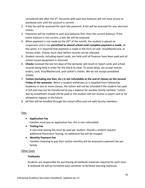considered late after the 5<sup>th</sup>. Accounts with past due balances will not have access to planbook.com until the account is current.

- 2. A late fee will be assessed for each late payment. A fee will be assessed for any returned checks.
- 3. Payments will be credited to past due balances first, then the current balance. If the entire balance is not current, a late fee will be assessed.
- 4. When payment is not made by the  $25<sup>th</sup>$  of the month, the student is placed on suspension and is not **permitted to attend school until complete payment is made.** At this point, it is required that payment is made in the form of cash, Visa/Mastercard, or money order. Checks must clear before records can be released.
- 5. Student records, including report cards, are held until all finances have been paid and all school issued equipment is returned.
- 6. **Checks** received the last ten days of the semester will result in report cards and school records being held in order for the check to clear. To avoid delay, we accept money orders, cash, Visa/Mastercard, and cashier's checks. We do not accept postdated checks.
- 7. **Tuition (including any fees, etc.) is not refundable at the end of classes on the second Friday of the semester.** When a student withdraws or is expelled from Fellowship Academy in one or more classes, the tuition will not be refunded if the student has paid in full and may not be transferred to pay a balance for another family member. Tuition due by installment should still be paid or the student will not receive a report card or be allowed to register in the future.
- 8. All fees will be handled through the school office and not with faculty members.

## Fees

## • **Application Fee**

Families must pay an application fee; this is non-refundable.

• **Testing Fee**

A one-time testing fee must be paid per student. Should a student request additional Placement Testing, no additional fee will be charged.

## • **Monthly Payment Fee**

Families choosing to pay their tuition monthly will be assessed a payment fee per family.

## Other Costs

## **Textbooks**

Students are responsible for purchasing all textbook materials required for each class. A textbook list will be furnished each semester to facilitate learning materials.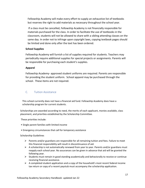Fellowship Academy will make every effort to supply an exhaustive list of textbooks but reserves the right to add materials as necessary throughout the school year.

If a class must be cancelled, Fellowship Academy is not financially responsible for materials purchased for the class. In order to facilitate the use of textbooks in the classroom, students will not be allowed to share with a sibling attending classes on the same day. In order not to infringe upon copyright laws, copying textbook pages should be limited and done only after the text has been ordered.

## **School Supplies**

Fellowship Academy will furnish a list of supplies required for students. Teachers may periodically require additional supplies for special projects or assignments. Parents will be responsible for purchasing each student's supplies.

## **Apparel**

Fellowship Academy- approved student uniforms are required. Parents are responsible for providing the student uniform. School apparel may be purchased through the school. These items are not required.

# <span id="page-16-0"></span>C. Tuition Assistance

This school currently does not have a financial aid fund. Fellowship Academy does have a scholarship program for current students.

Scholarships are awarded according to need, the merits of each applicant, monies available, class placement, and priorities established by the Scholarship Committee.

These priorities include:

- Single parent families with limited income
- Emergency circumstances that call for temporary assistance

Scholarship Guidelines

- $\triangleright$  Parents and/or guardians are responsible for all remaining tuition and fees. Failure to meet this financial responsibility will result in discontinuance of aid.
- $\triangleright$  A scholarship is not automatically renewed from year to year. Parents and/or guardians must reapply each school year. No assurances can be given in advance that aid will be granted the following year.
- $\triangleright$  Students must remain in good standing academically and behaviorally to receive or continue receiving financial assistance.
- $\triangleright$  A completed student application and a copy of the household's most recent federal income tax return or copy of a recent paystub must accompany the scholarship application.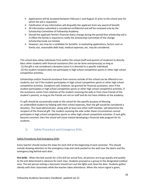- $\triangleright$  Applications will be accepted between February 1 and August 31 prior to the school year for which the aid is requested.
- $\triangleright$  Falsification of any information will disqualify the applicant from any award of benefit.
- $\triangleright$  All information submitted is considered confidential and will be reviewed only by the Scholarship Committee of Fellowship Academy.
- $\triangleright$  Should the applicant family's financial status change during the period that scholarship aid is in effect the family is required to notify the Scholarship Committee of the change. Scholarship funds are limited.
- ➢ However, you may be a candidate for benefits. In evaluating applications, factors such as family size, reasonable debt load, medical expenses, etc. may be considered.

This school does allow individuals from within the school (staff and parents of students) to directly bless other students with financial assistance (this can be done anonymously) so long as (1) the gift is not considered a donation (since it is directed to a specific individual) (2) the student recipient does not participate in high school competitive sports or other high school competitive activities.

Scholarships and/or financial assistance from sources outside of this school can be offered to our students, but not if the student participates in high school competitive sports or other high school competitive activities. Exceptions will, however, be granted for financial assistance, even if the student participates in high school competitive sports or other high school competitive activities, if the assistance comes from relatives of the student receiving the aide or from close friends of the student's parents, so long as the friends are not on staff and do not have children at the academy.

If a gift should be occasionally made to the school for the specific purpose of blessing an *unidentified* student by helping with their school expenses, then the gift would be considered a donation. The head administrator, along with at least one other staff member, will determine the recipient of the financial gift. The student receiving the aide under these circumstances cannot participate in high school competitive sports or other high school competitive activities. If such gifts become common, then the school will move toward developing a financial aide program for its students.

# <span id="page-17-0"></span>D. Safety Procedure and Emergency Drills

## Safety Procedures And Emergency Drills

Every teacher should review the steps for each drill at the beginning of each semester. This should include drawing attention to the emergency map and cards posted on the wall near the doors and the emergency bag behind each door.

**Fire Drills** - When the bell sounds for a fire drill (or actual fire), all persons are to go quickly and quietly to the exit determined in advance for each class. Students proceed as a group to the designated outdoor area. The last person exiting a classroom should turn out the lights and close the door. Students gather silently with their classmates while the teacher takes attendance. When the return signal is given,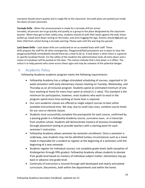everyone should return quietly and in single file to the classroom. Exit path plans are posted just inside the doors of each classroom.

**Tornado Drills** - When the announcement is made for a tornado drill (or actual tornado), all persons are to go quickly and quietly as a group to the place designated by the classroom teacher. When they get to their safety area, students should sit with their backs against the wall, knees pulled up, heads bent down resting on the knees, and arms hugging the legs. Parents should **not** pick up their child from school during a tornado warning. Please wait until the warning has passed.

**Lock Down Drills** – Lock down drills are conducted on an as needed basis with staff. These drills prepare the staff for all other emergencies. Playground/field procedures are in place to clear the playgrounds/fields immediately should there be a need to do so. A lock down is when there is a general or specific localized threat. For the safety of the students the administration locks all entry doors and a notice of Lockdown will be posted on the door. The notices indicate that a lock down is in effect. The notice is to help parents who come across these signs and may be unaware of the potential danger.

# <span id="page-18-0"></span>V. Academic Policy

Fellowship Academy academic program meets the following requirements:

- Fellowship Academy has a college-stimulated scheduling of courses, organized in 16 week semesters with early elementary classes meeting on Tuesday, Wednesday, and Thursday as an all-inclusive program. Students spend an estimated minimum of one hour working at home for every hour spent at school (1-1 ratio). This standard is the minimum for participation, however, most students who want to excel in the program spend more time working at home than is required.
- Our core academic classes are offered as single subject courses to best utilize available instructional time. We may, due to small class sizes, combine course levels for our core or elective classes.
- Students must successfully complete the prerequisite for each course, confirmed by a passing grade in a Fellowship Academy course, summative exam, or a transcript from another school. Students will demonstrate mastery of previous knowledge through placement testing to provide teachers with a starting point for each semester's instruction.
- Fellowship Academy allows semester-by-semester enrollment. Once a semester is underway, new students may not be admitted (unless circumstances such as a move made it impossible for a student to register at the beginning of a semester) until the beginning of a new semester.
- Students register for individual courses, not complete grade levels (with exception of Kindergarten through fifth grades). Fellowship Academy allows students to deviate from grade level based on mastery of individual subject matter: elementary may go back or advance one grade level.
- Continuity of instruction is insured through well-developed and clearly articulated curriculum, documents, both within the departments and within the home.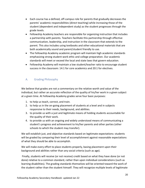- Each course has a defined, off-campus role for parents that gradually decreases the parents' academic responsibilities (direct teaching) while increasing those of the student (dependent and independent study) as the student progresses through the grade levels.
- Fellowship Academy teachers are responsible for organizing instruction that includes a partnership with parents. Teachers facilitate this partnership through effective communication, leadership, and instruction in the classroom that extends to the parent. This also includes using textbooks and other educational materials that are both academically sound and parent/student friendly to use.
- The Fellowship Academy academic program will maintain high academic standards emphasizing strong student work ethic and college preparation. Our academic standards will meet or exceed the local and state laws that govern education.
- Fellowship Academy will maintain a low student/teacher ratio to encourage student success in the classroom: 14:1 for core academics and 20:1 for electives.

# <span id="page-19-0"></span>A. Grading Philosophy

We believe that grades are not a commentary on the relative worth and value of the individual, but rather an accurate reflection of the quality of his/her work in a given subject at a given time. At Fellowship Academy grades serve four basic purposes:

- 1. to help us teach, correct, and train.
- 2. to help us in the on-going placement of students at a level and in subjects responsive to their needs, background, and abilities.
- 3. to provide us with a just and legitimate means of holding students accountable for the quality of their work.
- 4. to provide us with an ongoing and widely understood means of communicating a student's progress and achievement to his/her parents and other parties (other schools to which the student may transfer).

We will establish just, and objective standards based on legitimate expectations: students will be graded by comparing their level of accomplishment against reasonable expectations of what they should be able to accomplish.

We will make every effort to place students properly, basing placement upon their background and abilities rather than any social criteria (such as age).

Finally, students will receive (or not receive) credit based on what they have done (or not done) relative to a common standard, rather than upon individual considerations (such as learning disabilities). The grading standards themselves will be oriented toward the work of the student rather than the student himself. They will recognize multiple levels of legitimate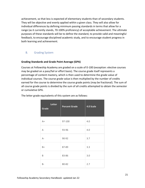achievement, so that less is expected of elementary students than of secondary students. They will be objective and evenly applied within a given class. They will also allow for individual differences by defining minimum passing standards in terms that allow for a range (as it currently stands, 70-100% proficiency) of acceptable achievement. The ultimate purposes of these standards will be to define the standard, to provide valid and meaningful feedback, to encourage disciplined academic study, and to encourage student progress in both learning and achievement.

## <span id="page-20-0"></span>B. Grading System

## **Grading Standards and Grade Point Average (GPA)**

Courses at Fellowship Academy are graded on a scale of 0-100 (exception: elective courses may be graded on a pass/fail or effort basis). The course grade itself represents a percentage of content mastery, which is then used to determine the grade value of individual courses. The course grade value is then multiplied by the number of credits earned for the course to determine the course grade points (may be fractional). The sum of all course grade points is divided by the sum of all credits attempted to obtain the semester or cumulative GPA.

| Letter<br>Grade | <b>Percent Grade</b> | 4.0 Scale |
|-----------------|----------------------|-----------|
| $A+$            | 97-100               | 4.0       |
| Α               | 93-96                | 4.0       |
| $A-$            | 90-92                | 3.7       |
| B+              | 87-89                | 3.3       |
| B               | 83-86                | 3.0       |
| <b>B-</b>       | 80-82                | 2.7       |

The letter grade equivalents of this system are as follows: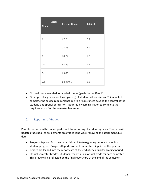| <b>Letter</b><br>Grade | <b>Percent Grade</b> | 4.0 Scale |
|------------------------|----------------------|-----------|
| $C+$                   | 77-79                | 2.3       |
| $\mathsf{C}$           | 73-76                | 2.0       |
| $C-$                   | 70-72                | 1.7       |
| D+                     | 67-69                | 1.3       |
| D                      | 65-66                | 1.0       |
| E/F                    | Below 65             | 0.0       |

- No credits are awarded for a failed course (grade below 70 or F)
- Other possible grades are Incomplete (I). A student will receive an "I" if unable to complete the course requirements due to circumstances beyond the control of the student, and special permission is granted by administration to complete the requirements after the semester has ended.

# <span id="page-21-0"></span>C. Reporting of Grades

Parents may access the online grade book for reporting of student's grades. Teachers will update grade book as assignments are graded (one week following the assignment due date).

- Progress Reports: Each quarter is divided into two grading periods to monitor student progress. Progress Reports are sent out at the midpoint of the quarter.
- Grades are loaded into the report card at the end of each quarter grading period.
- Official Semester Grades: Students receive a final official grade for each semester. This grade will be reflected on the final report card at the end of the semester.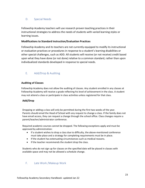## <span id="page-22-0"></span>D. Special Needs

Fellowship Academy teachers will use research proven teaching practices in their instructional strategies to address the needs of students with varied learning styles or learning issues.

## **Modifications to Standard Instruction/Evaluation Practices**

Fellowship Academy and its teachers are not currently equipped to modify its instructional or evaluation practices or procedures in response to a student's learning disabilities or other special challenges, such as ADD. All students will receive (or not receive) credit based upon what they have done (or not done) relative to a common standard, rather than upon individualized standards developed in response to special needs.

# <span id="page-22-1"></span>E. Add/Drop & Auditing

## **Auditing of Classes**

Fellowship Academy does not allow the auditing of classes. Any student enrolled in any classes at Fellowship Academy will receive a grade reflecting his level of achievement in the class. A student may not attend a class or participate in class activities unless registered for that class.

## **Add/Drop**

Dropping or adding a class will only be permitted during the first two weeks of the year. Parents should email the Head of School with any request to change a class. If the family does not have email access, they can request a change through the school office. Class changes require a parent/teacher/administrator conference.

Required academic courses cannot be dropped. The following exceptions apply and must be approved by administration:

- If a student wishes to drop a class due to difficulty, the above-mentioned conference must take place and a strategy for completing requirements must be in place.
- If the student has extenuating circumstances such as medical reasons.
- If the teacher recommends the student drop the class.

Students who do not sign up for classes on the specified date will be placed in classes with available space and may not be allowed a schedule change.

## <span id="page-22-2"></span>F. Late Work /Makeup Work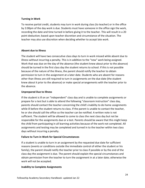## **Turning in Work**

To receive partial credit, students may turn in work during class (to teacher) or in the office by 2:00pm of the day work is due. Students must have someone in the office sign the work, recording the date and time turned in before giving it to the teacher. This will result in a 20 point deduction; based upon teacher discretion and circumstance of the situation. The teacher may also use discretion when deciding whether to accept late work.

## **Absent due to Illness**

The student will have two consecutive class days to turn in work missed while absent due to illness without incurring a penalty. This is in addition to the "new" work being assigned. Work that was due on the day of the absence (the student knew about prior to the absence) should be turned in the first class day the student returns to school. If this is not possible because of the nature of the illness, the parent should notify the teacher to obtain permission to turn in the assignment at a later date. Students who are absent for reasons other than illness are still required to turn in assignments on the due date (the student knew about it prior to the absence) or make special arrangements with the teacher prior to the absence.

## **Unprepared Due to Illness**

If the student is ill on an "independent" class day and is unable to complete assignments or prepare for a test but is able to attend the following "classroom instruction" class day, parents should contact the teacher concerning the child's inability to do home assignments while ill before the student returns to class. If the parent is unable to contact the teacher, he or she should call the office so the teacher can be notified. A written note is not sufficient. The student will be allowed to come to class the next class day but not be responsible for the assignments due or a test. Parents should be aware that this might keep the child from participating in all learning activities because of the work not completed. All assignments and testing may be completed and turned in to the teacher within two class days without incurring a penalty.

## **Failure to Turn in Work for Special Circumstances**

If a student is unable to turn in an assignment by the requested due date for sufficient reasons (events or conditions outside the immediate control of either the student or his family), the parent should notify the teacher prior to class if possible or by the end of the class day the assignment is due. The parent should explain the special circumstances and obtain permission from the teacher to turn the assignment in at a later date; otherwise the work will not be accepted.

## **Inability to Complete Assignments**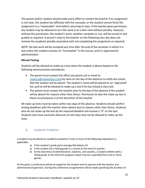The parent and/or student should make every effort to contact the teacher if an assignment is not clear, the student has difficulty with the concepts, or the student cannot finish the assignment in a "reasonable" time before returning to class. If the teacher gives permission, the student may be allowed to turn the work in at a later time without penalty. However, without this permission, the student's work, whether complete or not, will be turned in and graded as required. A parent's note to the teacher on the following class day does not remove the academic penalty associated with not completing the assignment as required.

NOTE: No late work will be accepted any time after the end of the semester in which it is due unless the student receives an "Incomplete" in the course, and it is approved by administration.

## **Missed Testing**

Students will be allowed to make-up a test when the student is absent based on the following communication procedures:

- The parent must contact the office (via phone call or email to [FaAdmin@FellowshipLH.com](mailto:FaAdmin@FellowshipLH.com)) by noon on the day of the absence to notify the school that the student will be absent. The student's name will be placed on an "approved" list, and he will be allowed to make-up a test if he has missed a class test.
- The parent must contact the teacher prior to the day of the absence if the student will be absent for reasons other than illness. Permission to take the make-up test in these circumstances is at the discretion of the teacher.

All make-up tests must be taken within two days of the absence. Students should confirm testing deadlines with the teacher when absent due to reasons other than illness. Students who do not make-up the test by the required deadline will receive a "0" on the test. Students who have excessive absences on test days may not be allowed to make-up the tests.

# <span id="page-24-0"></span>G. Academic Probation

A student may be placed on academic probation if one or more of the following stipulations is applicable:

- a) If the student's grade point average falls below 2.0.
- a) If the student has a failing grade in a course at the end of a quarter.
- b) At the discretion of administration, teachers, and coaches, a student athlete with a failing grade at the mid-term progress report may be suspended from one or more games.

At this point, a conference will be arranged for the student and his parents with the teacher and administrator/supervisor. During the conference an agreement will be made specifying the duration of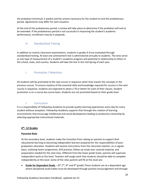the probation (minimum 2 weeks) and the actions necessary for the student to end the probationary period. Agreements may differ for each situation.

At the end of the probationary period, a review will take place to determine if the probation will end or be extended. If the probationary period is not successful in improving the student's academic performance, enrollment may be in jeopardy.

## <span id="page-25-0"></span>H. Standardized Testing

In addition to routine classroom examinations, students in grades K-8 are evaluated through standardized testing. At least one achievement test is administered annually to students. The tests serve as one type of measurement of a student's academic progress and potential in relationship to others in the school, state, and country. Students will take the test in the mid Spring of each year.

# <span id="page-25-1"></span>I. Promotion / Retention

All students will be promoted to the next course in sequence when they master the concepts in the previous course. To ensure mastery of the essential skills and knowledge required for success in the next course in sequence, students are expected to attain a 70 or better for each of their classes. Student promotion is on a course-by-course basis. Students are not promoted based on their grade level.

# J. Curriculum

<span id="page-25-2"></span>It is a responsibility of Fellowship Academy to provide quality learning experiences every day for every student without exception. Fellowship Academy supports that through the creation of learning environments that encourage intellectual and social development leading to productive citizenship by selecting appropriate instructional materials.

## **6 th - 12 Grades**

## **Parental Role**

At the secondary level, students make the transition from relying on parents to support their educational learning to becoming independent learners prepared for the responsibilities of postgraduation education. Students will receive instructions from the classroom teacher, on a regular basis, outlining home assignments, drill practice, follow-up study over covered material, and preparation needed for the next class. Different from the lower grade levels, parents will supervise independent work at this level. Teachers will assign work that students should be able to complete independently at this level. Some of the roles parents will fill at this level are:

• **Guide for Dependent Study** –  $(6<sup>th</sup>,7<sup>th</sup>, 8<sup>th</sup>$  and 9<sup>th</sup> grade) These students are at a dependent age where disciplined study habits must be developed through positive encouragement and through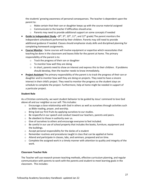the students' growing awareness of personal consequences. The teacher is dependent upon the parent to:

- $\circ$  Make certain that their son or daughter keeps up with the course material assigned
- o Communicate to the teacher if difficulties should arise.
- $\circ$  Parents may need to provide additional support on some concepts if needed
- **Guide to Independent Study**  $-(8^{th}, 9^{th}, 10^{th}, 11^{th},$  and  $12^{th}$  grade) The parent monitors the independent schoolwork performed by their children. Parents may still need to provide additional guidance if needed. Classes should emphasize study skills and disciplined planning for completing homework assignments.
- **Course Monitor** Some courses will involve equipment or expertise which necessitates that teaching be done in the classroom and leaves little for the parent at home. The primary responsibility of the parent is to:
	- o Track the progress of their son or daughter
	- o To monitor how well they are doing
	- $\circ$  In short, parents need to show an interest and express this to their children. If problems should develop, then the teacher needs to know immediately.
- **Project Assistant** The primary responsibility of the parent is to track the progress of their son or daughter and to monitor how well they are doing on projects. They need to have a sincere interest in their child's project. They need to monitor the progress so the student stays on schedule to complete the project. Furthermore, help at home might be needed in support of a particular project.

#### **Student Role**

As a Christian community, we want student behavior to be guided by Jesus' command to love God above all and our neighbor as our self. This includes:

- $\circ$  Encourage a close relationship with God in others as well as ourselves through activities such as Bible reading, prayer, and worship.
- o Bring God our first fruits by applying ourselves to our studies.
- $\circ$  Be respectful in our speech and conduct toward our teachers, parents and peers.
- o Be obedient to those in authority over us.
- o Give of ourselves to others and encourage everyone to feel included.
- $\circ$  Be careful in our use of school property that includes the books, furniture, equipment and the buildings.
- o Accept personal responsibility for the duties of a student
- $\circ$  Remember routines and procedures taught in class that can be applied at home
- $\circ$  Attend and participate in classes, labs, and seminars, prepared and on time.
- $\circ$  Complete the assigned work in a timely manner with attention to quality and integrity of the work.

#### **Classroom Teacher Role**

The Teacher will use research proven teaching methods, effective curriculum planning, and regular communication with parents to work with the parents and student to meet learning goals in the classroom. This includes: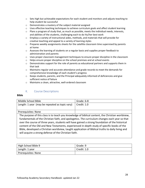- $\circ$  Sets high but achievable expectations for each student and monitors and adjusts teaching to help student be successful
- o Demonstrates a mastery of the subject material assigned
- $\circ$  Uses effective teaching techniques to achieve curriculum goals and affect student learning
- $\circ$  Plans a program of study that, as much as possible, meets the individual needs, interests, and abilities of the students, challenging each to do his/her best work
- $\circ$  Employs a variety of instructional aides, methods, and materials that will provide for creative teaching and appeal to a variety of learning styles
- o Prepares weekly assignments sheets for the satellite classroom time supervised by parents at home
- o Assesses the learning of students on a regular basis and supplies proper feedback to administration and parents
- $\circ$  Uses proper classroom management techniques to ensure proper discipline in the classroom
- $\circ$  Helps ensure proper discipline on the school premises and at school events
- $\circ$  Demonstrates support for the role of parents as educational partners and supports them in that task
- $\circ$  Maintains regular and accurate attendance and grade records to meet the demands for comprehensive knowledge of each student's progress
- $\circ$  Keeps students, parents, and the Principal adequately informed of deficiencies and give sufficient notice of failure
- o Maintains a clean, attractive, well-ordered classroom

## K. Course Descriptions

### <span id="page-27-0"></span>**Bible**

| Middle School Bible                                                                               | Grade: 6-8  |  |
|---------------------------------------------------------------------------------------------------|-------------|--|
| Length: 1 year (may be repeated as topic vary)                                                    | Credit: 1.0 |  |
|                                                                                                   |             |  |
| Prerequisites: None                                                                               |             |  |
| The purpose of this class is to teach you knowledge of biblical content, the Christian worldview, |             |  |
| fundamentals of the Christian faith, and apologetics. The curriculum changes each year so that    |             |  |
| over the course of three years, students will have gained a strong foundation of the historical   |             |  |
| content of the Old and New Testaments, experienced in-depth study of specific books of the        |             |  |
| Bible, developed a Christian worldview, taught application of Biblical truths to daily living and |             |  |
| will acquire a strong defense of the Christian faith.                                             |             |  |

| High School Bible 9 | Grade: 9    |
|---------------------|-------------|
| Length: 1 year      | Credit: 1.0 |
| Prerequisites: None |             |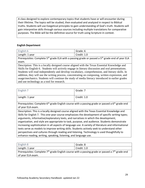A class designed to explore contemporary topics that students have or will encounter during their lifetime. The topics will be studied, then evaluated and analyzed in respect to Biblical truths. Students will use Exegetical principles to gain understanding of God's truth. Students will gain interpretive skills through various sources including multiple translations for comparative purposes. The Bible will be the definitive source for truth using Scripture in context.

## **English Department**

| English 6                                                                                                                | Grade: 6    |  |  |
|--------------------------------------------------------------------------------------------------------------------------|-------------|--|--|
| Length: 1 year                                                                                                           | Credit: 1.0 |  |  |
| Prerequisites: Complete 5 <sup>th</sup> grade ELA with a passing grade or passed a 5 <sup>th</sup> grade end of year ELA |             |  |  |
| exam.                                                                                                                    |             |  |  |
| Description: This is a locally designed course aligned with the Texas Essential Knowledge and                            |             |  |  |
| Skills for English 6. Students will actively engage in literary discussion and oral presentations.                       |             |  |  |
| Students will read independently and develop vocabulary, comprehension, and literary skills. In                          |             |  |  |
| addition, they will use the writing process, concentrating on composing, written expression, and                         |             |  |  |
| usage/mechanics. Students will continue the study of media literacy introduced in earlier grades                         |             |  |  |

and use technology as a tool for research.

| English 7                                                                                                                                                                                                                                                                                                                                                                                                                                                                                                                                                                                                                                                                                                                                                        | Grade: 7    |  |
|------------------------------------------------------------------------------------------------------------------------------------------------------------------------------------------------------------------------------------------------------------------------------------------------------------------------------------------------------------------------------------------------------------------------------------------------------------------------------------------------------------------------------------------------------------------------------------------------------------------------------------------------------------------------------------------------------------------------------------------------------------------|-------------|--|
| Length: 1 year                                                                                                                                                                                                                                                                                                                                                                                                                                                                                                                                                                                                                                                                                                                                                   | Credit: 1.0 |  |
| Prerequisites: Complete $6th$ grade English course with a passing grade or passed a $6th$ grade end<br>of year ELA exam.                                                                                                                                                                                                                                                                                                                                                                                                                                                                                                                                                                                                                                         |             |  |
| Description: This is a locally designed course aligned with the Texas Essential Knowledge and<br>Skills for English 7. This one-year course emphasizes the development of specific writing types;<br>arguments, informative/explanatory texts, and narratives in which the development,<br>organization, and style are appropriate to task, purpose, and audience. Students demonstrate<br>increasing sophistication in all aspects of language use. A variety of literature and informational<br>texts serve as models to improve writing skills. Students actively seek to understand other<br>perspectives and cultures through reading and listening. Technology is used thoughtfully to<br>enhance reading, writing, speaking, listening, and language use. |             |  |

| English 8                                                                                           | Grade: 8    |  |
|-----------------------------------------------------------------------------------------------------|-------------|--|
| Length: 1 year                                                                                      | Credit: 1.0 |  |
| Prerequisites: Complete $7th$ grade English course with a passing grade or passed a $7th$ grade end |             |  |
| of year ELA exam.                                                                                   |             |  |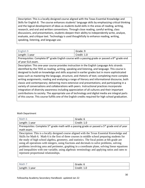Description: This is a locally designed course aligned with the Texas Essential Knowledge and Skills for English 8. The course enhances students' language skills by emphasizing critical thinking and the logical development of ideas as students build skills in the areas of reading, writing, research, and oral and written conventions. Through close reading, careful writing, class discussions, and presentations, students deepen their ability to independently write, analyze, evaluate, and critique text. Technology is used thoughtfully to enhance reading, writing, speaking, listening, and language use.

| English 9      | Grade: 9    |
|----------------|-------------|
| Length: 1 year | Credit: 1.0 |

Prerequisites: Complete 8<sup>th</sup> grade English course with a passing grade or passed a 8<sup>th</sup> grade end of year ELA exam.

Description: This one-year course provides instruction in the English Language Arts strands identified by the TEKS as reading, writing, speaking and listening, and language. This course is designed to build on knowledge and skills acquired in earlier grades but in more sophisticated ways such as mastering the language, structure, and rhetoric of text; completing more complex writing assignments; reading and analyzing a range of literary and informational discourse, both classic and contemporary; delivering more extensive oral presentations; and participating in a variety of conversations and collaborations with peers. Instructional practices incorporate integration of diversity awareness including appreciation of all cultures and their important contributions to society. The appropriate use of technology and digital media are integral parts of this course. This course fulfills one of the English credits required for high school graduation.

### Math Department

| Math 6                                                                                                                | Grade: 6    |  |
|-----------------------------------------------------------------------------------------------------------------------|-------------|--|
| Length: 1 year                                                                                                        | Credit: 1.0 |  |
| Prerequisites: Complete 5 <sup>th</sup> grade math with a passing grade or passed a 5 <sup>th</sup> grade end of year |             |  |
| math exam.                                                                                                            |             |  |
| Description: This is a locally designed course aligned with the Texas Essential Knowledge and                         |             |  |
| Skills for Math 6. Math 6 is the first of three courses in middle school preparing students for                       |             |  |
| the study of high school algebra, geometry, and statistics. The focal points at 6th grade are                         |             |  |

using all operations with integers, using fractions and decimals to solve problems, solving problems involving area and perimeter, graphing in a coordinate plane, solving linear equations and inequalities with one variable, using algebraic terminology and applying ratios and rates to represent proportional relationships.

| $\overline{\phantom{a}}$<br>Math | Grade: 6    |
|----------------------------------|-------------|
| Length: 1                        | .           |
| year                             | Credit: 1.0 |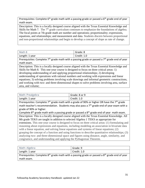Prerequisites: Complete  $6<sup>th</sup>$  grade math with a passing grade or passed a  $6<sup>th</sup>$  grade end of year math exam.

Description: This is a locally designed course aligned with the Texas Essential Knowledge and Skills for Math 7. The  $7<sup>th</sup>$  grade curriculum continues to emphasize the foundations of algebra. The focal points at 7th grade math are number and operations; proportionality; expressions, equations, and relationships; and measurement and data. Students discern between proportional and non-proportional relationships and begin to develop a concept of slope as rate of change.

| Math 8         | Grade: 8    |
|----------------|-------------|
| Length: 1 year | Credit: 1.0 |

Prerequisites: Complete 7<sup>th</sup> grade math with a passing grade or passed a 7<sup>th</sup> grade end of year math exam.

Description: This is a locally designed course aligned with the Texas Essential Knowledge and Skills for Math 8. This one-year course is designed to focus on three critical areas: 1) developing understanding of and applying proportional relationships; 2) developing understanding of operations with rational numbers and working with expressions and linear equations; 3) solving problems involving scale drawings and informal geometric constructions, and working with two- and three-dimensional shapes to solve problems involving area, surface area, and volume;

| Math: Prealgebra | Grade: 8 or 9 |
|------------------|---------------|
| Length: 1 year   | Credit: 1.0   |

Prerequisites: Complete  $7<sup>th</sup>$  grade math with a grade of 90% or higher OR have the  $7<sup>th</sup>$  grade math teacher's recommendation. Students may also pass a  $7<sup>th</sup>$  grade end of year exam with a grade of 90% or higher.

Complete  $8<sup>th</sup>$  grade math with a passing grade or passed a  $8<sup>th</sup>$  grade end of year math exam.

Description: This is a locally designed course aligned with the Texas Essential Knowledge. All 8th grade TEKS are taught in addition to selected Algebra 1 TEKS as appropriate for extensions. This one-year course is designed to focus on three critical areas: (1) formulating and reasoning about expressions and equations, including modeling an association in bivariate data with a linear equation, and solving linear equations and systems of linear equations; (2) grasping the concept of a function and using functions to describe quantitative relationships; (3) analyzing two- and three-dimensional space and figures using distance, angle, similarity, and congruence, and understanding and applying the Pythagorean Theorem.

| Math: Algebra                                                                                     | Grade: 9    |
|---------------------------------------------------------------------------------------------------|-------------|
| Length: 1 year                                                                                    | Credit: 1.0 |
| Prerequisites: Complete $8th$ grade math with a passing grade or passed a $8th$ grade end of year |             |
| math exam.                                                                                        |             |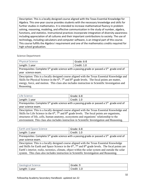Description: This is a locally designed course aligned with the Texas Essential Knowledge for Algebra. This one-year course provides students with the necessary knowledge and skills for further studies in mathematics. It is intended to increase mathematical fluency in problem solving, reasoning, modeling, and effective communication in the study of number, algebra, functions, and statistics. Instructional practices incorporate integration of diversity awareness including appreciation of all cultures and their important contributions to society. The use of technology, including calculators and computer software, is an integral part of this course. This course fulfills the Algebra I requirement and one of the mathematics credits required for high school graduation.

Science Department

| <b>Physical Science</b>                                                                                             | Grade: 6-8         |
|---------------------------------------------------------------------------------------------------------------------|--------------------|
| Length: 1 year                                                                                                      | $\mid$ Credit: 1.0 |
| Prerequisites: Complete 5 <sup>th</sup> grade science with a passing grade or passed a 5 <sup>th</sup> grade end of |                    |

year science exam.

Description: This is a locally designed course aligned with the Texas Essential Knowledge and Skills for Physical Science in the  $6<sup>th</sup>$ ,  $7<sup>th</sup>$  and  $8<sup>th</sup>$  grade levels. The focal points are matter, energy, force, and motion. This class also includes instruction in Scientific Investigation and Reasoning.

| Life Science   | Grade: 6-8  |
|----------------|-------------|
| Length: 1 year | Credit: 1.0 |

Prerequisites: Complete 5<sup>th</sup> grade science with a passing grade or passed a 5<sup>th</sup> grade end of year science exam.

Description: This is a locally designed course aligned with the Texas Essential Knowledge and Skills for Life Science in the  $6<sup>th</sup>$ ,  $7<sup>th</sup>$  and  $8<sup>th</sup>$  grade levels. The focal points are organisms, structures of life, cells, human anatomy, ecosystems and organisms' relationship to the environment. This class also includes instruction in Scientific Investigation and Reasoning.

| Earth and Space Science | Grade: 6-8  |
|-------------------------|-------------|
| Length: 1 year          | Credit: 1.0 |

Prerequisites: Complete 5<sup>th</sup> grade science with a passing grade or passed a 5<sup>th</sup> grade end of year science exam.

Description: This is a locally designed course aligned with the Texas Essential Knowledge and Skills for Earth and Space Science in the  $6<sup>th</sup>$ ,  $7<sup>th</sup>$  and  $8<sup>th</sup>$  grade levels. The focal points are Earth's interior, rocks, tectonics, climate, object within the solar system and outside the solar system. This class also includes instruction in Scientific Investigation and Reasoning.

| Geological Science | Grade: 9    |
|--------------------|-------------|
| Length: 1 year     | Credit: 1.0 |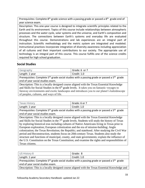Prerequisites: Complete 8<sup>th</sup> grade science with a passing grade or passed a 8<sup>th</sup> grade end of year science exam.

Description: This one-year course is designed to integrate scientific principles related to the Earth and its environment. Topics of this course include relationships between atmospheric processes and the water cycle, solar systems and the universe, and Earth's composition and structure. The connections between Earth's systems and everyday life are evaluated throughout this course. Demonstrations and lab experiences are an integral part of instruction. Scientific methodology and the metric system are integrated and modeled. Instructional practices incorporate integration of diversity awareness including appreciation of all cultures and their important contributions to our society. The appropriate use of technology is an integral part of this course. This course fulfills one of the science credits required for high school graduation.

# **Social Studies**

.

| Geography      | Grade: 6 or 7 |
|----------------|---------------|
| Length: 1 year | Credit: 1.0   |

Prerequisites: Complete 5<sup>th</sup> grade social studies with a passing grade or passed a 5<sup>th</sup> grade end of year social studies exam.

Description: This is a locally designed course aligned with the Texas Essential Knowledge and Skills for Social Studies in the 6<sup>th</sup> grade levels. It takes you on fantastic voyages to faraway environments and exotic landscapes and introduces you to our planet's kaleidoscope of peoples, cultures, and ways of life.

| Texas History  | Grade: 6 or 7 |
|----------------|---------------|
| Length: 1 year | Credit: 1.0   |
|                |               |

Prerequisites: Complete 5<sup>th</sup> grade social studies with a passing grade or passed a 5<sup>th</sup> grade end of year social studies exam.

Description: This is a locally designed course aligned with the Texas Essential Knowledge and Skills for Social Studies in the 7<sup>th</sup> grade levels. Students will study the history of Texas by exploring historical eras including cultures of Native Americans living in Texas prior to European exploration; European colonization and the era of mission-building; Anglo colonization; the Texas Revolution; the Republic; and statehood. After studying the Civil War period and Reconstruction, students focus on 20th-century Texas. Students also study the structure and functions of municipal, county, and state governments; explain the influence of the U.S. Constitution on the Texas Constitution; and examine the rights and responsibilities of Texas citizens.

| US History 8                                                                                                        | Grade: 8    |
|---------------------------------------------------------------------------------------------------------------------|-------------|
| Length: 1 year                                                                                                      | Credit: 1.0 |
| Prerequisites: Complete 5 <sup>th</sup> grade social studies with a passing grade or passed a 5 <sup>th</sup> grade |             |
| end of year social studies exam.                                                                                    |             |
| Description: This is a locally designed course aligned with the Texas Essential Knowledge and                       |             |
|                                                                                                                     |             |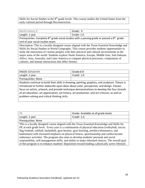Skills for Social Studies in the 8<sup>th</sup> grade levels. This course studies the United States from the early colonial period through Reconstruction.

| World History 9 | Grade: 9    |
|-----------------|-------------|
| Length: 1 year  | Credit: 1.0 |

Prerequisites: Complete  $8^{th}$  grade social studies with a passing grade or passed a  $8^{th}$  grade end of year social studies exam.

Description: This is a locally designed course aligned with the Texas Essential Knowledge and Skills for Social Studies in World Geography. This course provides students opportunities to study the interaction of various peoples with their physical and cultural environments in the major areas of the world. Students explore North America, Europe, Middle East, Sub-Saharan Africa, Asia, Australia, and Latin America to compare physical processes, components of cultures, and human interactions that affect history.

| <b>Middle School Art</b>                                                                         | Grade:6-8   |  |
|--------------------------------------------------------------------------------------------------|-------------|--|
| Length: 1 year                                                                                   | Credit: 1.0 |  |
| Prerequisites: None                                                                              |             |  |
| Students continue to build their skills in drawing, painting, graphics, and sculpture. Theory is |             |  |
| introduced to further elaborate upon ideas about color, perspective, and design. Classes         |             |  |
| focus on artists, artwork, and provide technique demonstrations to develop the four strands      |             |  |
| of art education: art appreciation, art history, art production, and art criticism; as well as   |             |  |
| problem-solving and critical thinking skills.                                                    |             |  |
|                                                                                                  |             |  |

| $P$ F               | Grade: Available at all grade levels |
|---------------------|--------------------------------------|
| Length: 1 year      | Credit: 1.0                          |
| Prerequisites: None |                                      |
|                     |                                      |

This is a locally designed course aligned with the Texas Essential Knowledge and Skills for PE at each grade level. Every year is a continuation of physical education (volleyball, soccer, flag football, softball, basketball, gym hockey, gym bowling, aerobics/slimnastics, and badminton) with increased emphasis on physical fitness, sportsmanship and cardiovascular endurance activities. The program also aims to develop students' personal and social responsibility, self-management skills, and ability to make informed choices. The overall goal of this program is to enhance students' disposition toward leading a physically active lifestyle.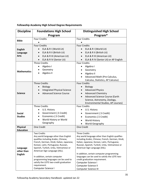| <b>Discipline</b>  | <b>Foundations High School</b>                                                    | <b>Distinguished High School</b>                                                                   |  |
|--------------------|-----------------------------------------------------------------------------------|----------------------------------------------------------------------------------------------------|--|
|                    | Program                                                                           | Program*                                                                                           |  |
| <b>Bible</b>       | <b>Four Credits</b>                                                               | <b>Four Credits</b>                                                                                |  |
|                    |                                                                                   |                                                                                                    |  |
|                    | <b>Four Credits</b>                                                               | <b>Four Credits</b>                                                                                |  |
| <b>English</b>     | ELA & R I (World Lit)<br>$\bullet$                                                | ELA & R I (World Lit)<br>$\bullet$                                                                 |  |
| Language           | ELA & R II (British Lit)<br>$\bullet$                                             | ELA & R II (British Lit)                                                                           |  |
| <b>Arts</b>        | ELA & R III (American Lit)<br>$\bullet$                                           | ELA & R III (American Lit)<br>$\bullet$                                                            |  |
|                    | ELA & R IV (Senior Lit)                                                           | ELA & R IV (Senior Lit) or AP English                                                              |  |
|                    | <b>Three Credits</b>                                                              | <b>Four Credits</b>                                                                                |  |
|                    | Algebra I                                                                         | Algebra I                                                                                          |  |
| <b>Mathematics</b> | Geometry                                                                          | Geometry                                                                                           |  |
|                    | Algebra II                                                                        | Algebra II                                                                                         |  |
|                    |                                                                                   | Advanced Math (Pre-Calculus,                                                                       |  |
|                    |                                                                                   | Calculus, Statistics, AP Calculus)                                                                 |  |
|                    | <b>Three Credits</b>                                                              | <b>Four Credits</b>                                                                                |  |
|                    | <b>Biology</b>                                                                    | <b>Biology</b>                                                                                     |  |
|                    | <b>Integrated Physical Science</b>                                                | <b>Advanced Physics</b>                                                                            |  |
| <b>Science</b>     | <b>Advanced Science Course</b>                                                    | <b>Advanced Chemistry</b>                                                                          |  |
|                    |                                                                                   | Advanced Science Course (Earth<br>Science, Astronomy, Zoology,                                     |  |
|                    |                                                                                   | Environmental Studies, AP courses)                                                                 |  |
|                    | <b>Three Credits</b>                                                              | <b>Four Credits</b>                                                                                |  |
|                    | U.S. History                                                                      | U.S. History                                                                                       |  |
| <b>Social</b>      | Government (.5 Credit)<br>$\bullet$                                               | Government (.5 Credit)                                                                             |  |
| <b>Studies</b>     | Economics (.5 Credit)<br>$\bullet$                                                | Economics (.5 Credit)                                                                              |  |
|                    | World History or World                                                            | <b>World History</b>                                                                               |  |
|                    | Geography                                                                         | World Geography                                                                                    |  |
| <b>Physical</b>    | <b>One Credit</b>                                                                 | One Credit                                                                                         |  |
| <b>Education</b>   |                                                                                   |                                                                                                    |  |
|                    | <b>Two Credits</b>                                                                | <b>Three Credits</b>                                                                               |  |
|                    | Any world language other than English                                             | Any world language other than English qualifies                                                    |  |
|                    | qualifies including Arabic, Chinese,<br>French, German, Hindi, Italian, Japanese, | including Arabic, Chinese, French, German, Hindi,<br>Italian, Japanese, Korean, Latin, Portuguese, |  |
|                    | Korean, Latin, Portuguese, Russian,                                               | Russian, Spanish, Turkish, Urdu, Vietnamese or                                                     |  |
| Language           | Spanish, Turkish, Urdu, Vietnamese or                                             | American Sign Language (ASL).                                                                      |  |
| other than         | American Sign Language (ASL).                                                     |                                                                                                    |  |
| <b>English</b>     |                                                                                   | In addition, certain computer programming                                                          |  |
|                    | In addition, certain computer                                                     | languages can be used to satisfy the LOTE two-                                                     |  |
|                    | programming languages can be used to<br>satisfy the LOTE two-credit graduation    | credit graduation requirement.                                                                     |  |
|                    | requirement.                                                                      | Computer Science I<br>Computer Science II                                                          |  |
|                    | Computer Science I                                                                | Computer Science III                                                                               |  |

# **Fellowship Academy High School Degree Requirements**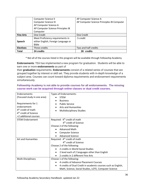|                  | Computer Science II                 | AP Computer Science A                      |
|------------------|-------------------------------------|--------------------------------------------|
|                  | Computer Science III                | AP Computer Science Principles IB Computer |
|                  | AP Computer Science A               |                                            |
|                  | AP Computer Science Principles IB   |                                            |
|                  | Computer                            |                                            |
| <b>Fine Arts</b> | One Credit                          | One Credit                                 |
|                  | Meet Proficiency requirements in    | .5 credit                                  |
| <b>Speech</b>    | either English, Foreign Language or |                                            |
|                  | <b>Bible</b>                        |                                            |
| <b>Electives</b> | Three credits                       | Two and half credits                       |
| <b>Total</b>     | 24 credits                          | credits<br>28.                             |

\* Not all of the courses listed in this program will be available through Fellowship Academy

**Endorsements**: TEA has implemented a new program for graduation. Students will be able to earn one or more **endorsements** as part of

their **graduation** requirements. **Endorsements** consist of a related series of courses that are grouped together by interest or skill set. They provide students with in-depth knowledge of a subject area. Courses can count toward diploma requirements and endorsement requirements simultaneously.

## **Fellowship Academy is not able to provide courses for all endorsements. The missing course work can be acquired through online classes or dual credit courses.**

| Endorsements-                     | Types of Endorsements:                                        |
|-----------------------------------|---------------------------------------------------------------|
| (Focused study in one area)       | <b>STEM</b>                                                   |
|                                   | <b>Business</b><br>$\bullet$                                  |
| Requirements for 1                | <b>Public Service</b>                                         |
| endorsement:                      | <b>Arts and Humanities</b>                                    |
| $4th$ credit of math              | <b>Multidisciplinary Studies</b><br>$\bullet$                 |
| 4 <sup>th</sup> credit of Science |                                                               |
| +2 additional courses             |                                                               |
| <b>STEM Endorsement</b>           | Required: 4 <sup>th</sup> credit of math                      |
|                                   | 4 <sup>th</sup> credit of Science                             |
|                                   | Choose 2 of the following:                                    |
|                                   | <b>Advanced Math</b>                                          |
|                                   | <b>Computer Science</b>                                       |
|                                   | <b>Advanced Science</b>                                       |
| Art and Humanities                | Required: 4 <sup>th</sup> credit of math                      |
|                                   | 4 <sup>th</sup> credit of Science                             |
|                                   | Choose 2 of the following:                                    |
|                                   | 2 credits in World Social Studies                             |
|                                   | 2 level each of 2 languages other than English                |
|                                   | 2 credits in 2 different Fine Arts                            |
| Multi-Disciplinary                | Choose 1 of the following:                                    |
|                                   | 4 credits of Advance Placement Courses                        |
|                                   | 4 credits of Dual Credit in academic courses such as English, |
|                                   | Math, Science, Social Studies, LOTE, Computer Science         |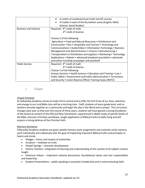|                              | 4 credits of combined Dual Credit and AP courses                                      |  |
|------------------------------|---------------------------------------------------------------------------------------|--|
|                              | 4 Credits in each of the foundation areas (English, Math,<br>Science, Social Studies) |  |
| <b>Business and Industry</b> | Required: 4 <sup>th</sup> credit of math                                              |  |
|                              | 4 <sup>th</sup> credit of Science                                                     |  |
|                              | Choose 2 of the following:                                                            |  |
|                              | Agriculture . Food and Natural Resources . Architecture and                           |  |
|                              | Construction • Arts • Hospitality and Tourism • Technology and                        |  |
|                              | Communications • Audio/Video • Information Technology • Business                      |  |
|                              | Management and Administration • Finance • Manufacturing •                             |  |
|                              | Transportation or Distribution and Logistics • Marketing • Technology                 |  |
|                              | Applications • Debate • advanced broadcast journalism • advanced                      |  |
|                              | journalism including newspaper and yearbook                                           |  |
| <b>Public Service</b>        | Required: 4 <sup>th</sup> credit of math                                              |  |
|                              | 4 <sup>th</sup> credit of Science                                                     |  |
|                              | Choose 2 of the following:                                                            |  |
|                              | Human Services • Health Science • Education and Training • Law •                      |  |
|                              | Public Safety • Government and Public Administration • Corrections                    |  |
|                              | and Security • Junior Reserve Officer Training Corps (JROTC)                          |  |

## <span id="page-36-0"></span>L. Chapel

### Chapel Schedule

As Fellowship Academy strives to make Christ central and to offer the first fruits of our time, attention, and energy to our Lord Bible class will be a morning class. Staff, students of every grade level, and coteachers worship together as a community and begin the day in the Word and in prayer. The curriculum changes each year so that over the course of three years, students will have gained a strong foundation of the historical content of the Old and New Testaments, experienced in-depth study of specific books of the Bible, learned a Christian worldview, taught application of Biblical truths to daily living and will acquire a strong defense of the Christian faith.

### Memory Recitation

Fellowship Academy students are given weekly memory work assignments and routinely recite memory work individually and collectively with the goal of implanting important Biblical truths and principles in hearts and minds.

- Pledges honor and respect of authorities
- Scripture meditate on truth.
- Chapel Sayings character development
- History Timeline –integration of learning and understanding of the context of all subject content taught
- American Values important national documents, foundational values and civic responsibility and leadership
- Student Presentations public speaking is essential in leadership and in communicating faith.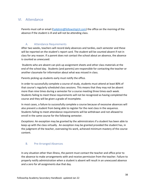# <span id="page-37-0"></span>VI. Attendance

Parents must call or email [\(FaAdmin@fellowshipLH.com\)](mailto:FaAdmin@fellowshipLH.com) the office on the morning of the absence if the student is ill and will not be attending class.

# A. Attendance Requirements

<span id="page-37-1"></span>After two weeks, teachers will record daily absences and tardies, each semester and these will be reported on the student's report card. The student will be counted absent if not in class for any reason. If a parent does not contact the school about an absence, the absence is counted as unexcused.

Students who are absent can pick up assignment sheets and other class materials at the end of the school day. Students (and parents) are responsible for contacting the teacher or another classmate for information about what was missed in class.

Parents picking up students early must notify the office.

In order to successfully complete a course of study, students must attend at least 80% of that course's regularly scheduled class sessions. This means that they may not be absent more than nine times during a semester for a course meeting three times each week. Students failing to meet these requirements will not be recognized as having completed the course and they will be given a grade of incomplete.

In most cases, a failure to successfully complete a course because of excessive absences will also prevent a student from being able to register for the next class in the sequence. Students failing to meet attendance requirements will be withdrawn and not allowed to enroll in the same course for the following semester.

*Exceptions*: An exception may be granted by the administrators if a student has been able to keep up with the class virtually. An exception may be granted provided the student has, in the judgment of the teacher, overseeing his work, achieved minimum mastery of the course content.

# <span id="page-37-2"></span>B. Pre-Arranged Absences

In any situation other than illness, the parent must contact the teacher and office prior to the absence to make arrangements with and receive permission from the teacher. Failure to properly notify administration when a student is absent will result in an unexcused absence and a zero for all assignments due that day.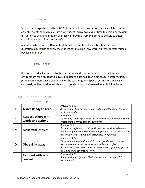# <span id="page-38-0"></span>C. Tardiness

Students are expected to attend 80% of the scheduled class period, or they will be counted absent. Parents should make sure that students arrive to class on time to avoid unnecessary disruption to the class. Student will receive tardy slip from the office to be able to enter class if they arrive after the start of class.

A student who comes in 10 minutes late will be counted absent. Teachers, at their discretion may refuse to allow the student to "make up" any work, quizzes, or tests missed because of a tardy.

# <span id="page-38-1"></span>D. Early Release

It is considered a discourtesy to the teacher and a disruptive influence to the learning environment for a student to leave class before class has been dismissed. Therefore, unless prior arrangements have been made or the teacher grants special permission, leaving a class early will be considered a breach of good conduct and treated as a discipline issue.

<span id="page-38-3"></span>

| A | <b>Arrive Ready to Learn</b>                    | Proverbs 18:15<br>An intelligent heart acquires knowledge, and the ear of the wise<br>seeks knowledge.                                                                                                                                           |
|---|-------------------------------------------------|--------------------------------------------------------------------------------------------------------------------------------------------------------------------------------------------------------------------------------------------------|
| R | <b>Respect others with</b><br>words and actions | Philippians 2:3<br>Do nothing from selfish ambition or conceit, but in humility count<br>others more significant than yourselves                                                                                                                 |
| M | <b>Make wise choices</b>                        | Romans 12:2<br>Do not be conformed to this world, but be transformed by the<br>renewal of your mind, that by testing you may discern what is the<br>will of God, what is good and acceptable and perfect.                                        |
| O | Obey right away                                 | Hebrews 13:17<br>Obey your leaders and submit to them, for they are keeping<br>watch over your souls, as those who will have to give an<br>account. Let them do this with joy and not with groaning, for that<br>would be of no advantage to you |
| R | <b>Respond with self-</b><br>control            | Proverbs 25:28<br>A man without self-control is like a city broken into and left<br>without walls.                                                                                                                                               |

# <span id="page-38-2"></span>VII. Student Conduct

A. School Rules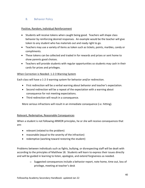# <span id="page-39-0"></span>B. Behavior Policy

## Positive, Random, Individual Reinforcement

- Students will receive tokens when caught being good. Teachers will shape class behavior by reinforcing desired responses. An example would be the teacher will give token to any student who has materials out and ready right to go.
- Teachers may use a variety of items as token such as tickets, points, marbles, candy or compliments.
- These tokens can be collected and traded in for rewards and prizes or sent home to show parents good choices.
- Teachers will provide students with regular opportunities so students may cash in their cards for prizes and privileges.

## When Correction is Needed- 1-2-3 Warning System

Each class will have a 1-2-3 warning system for behavior and/or redirection.

- First redirection will be a verbal warning about behavior and teacher's expectation.
- Second redirection will be a repeat of the expectation with a warning about consequence for not meeting expectations.
- Third redirection will result in a consequence.

More serious infractions will result in an immediate consequence (i.e. hitting).

## Relevant, Redemptive, Reasonable Consequences

When a student is not following ARMOR principles, he or she will receive consequences that are:

- relevant (related to the problem)
- reasonable (equal to the severity of the infraction)
- redemptive (working toward restoring the student)

Problems between individuals such as fights, bullying, or disrespecting staff will be dealt with according to the principles of Matthew 18. Students will learn to express their issues directly and will be guided in learning to listen, apologize, and extend forgiveness as needed.

> $\circ$  Suggested consequences include a behavior report, note home, time out, loss of privilege, meeting at teacher's desk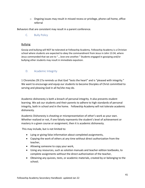$\circ$  Ongoing issues may result in missed recess or privilege, phone call home, office referral

<span id="page-40-0"></span>Behaviors that are consistent may result in a parent conference.

C. Bully Policy

## Bullying

Gossip and bullying will NOT be tolerated at Fellowship Academy. Fellowship Academy is a Christian school where students are expected to obey the commandment from Jesus in John 13:34, where Jesus commanded that we are to "….love one another." Students engaged in gossiping and/or bullying other students may result in immediate expulsion.

# <span id="page-40-1"></span>D. Academic Integrity

1 Chronicles 29:17a reminds us that God "tests the heart" and is "pleased with integrity." We want to encourage and equip our students to become Disciples of Christ committed to serving and pleasing God in all he/she may do.

Academic dishonesty is both a breach of personal integrity. It also prevents student learning. We ask our students and their parents to adhere to high standards of personal integrity, both in school and in the home. Fellowship Academy will not tolerate academic dishonesty.

Academic Dishonesty is cheating or misrepresentation of other's work as your own. Whether realized or not, if one falsely represents the student's level of achievement or mastery in a given course or assignment, then it is academic dishonesty.

This may include, but is not limited to:

- Lying or giving false information about completed assignments,
- Copying the work of others at any time without direct authorization from the teacher,
- Allowing someone to copy your work,
- Using any resources, such as solution manuals and teacher edition textbooks, to complete assignments without the direct authorization of the teacher,
- Obtaining any quizzes, tests, or academic materials, created by or belonging to the school;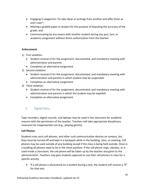- Engaging in plagiarism-"to take ideas or writings from another and offer them as one's own";
- Altering a graded paper or project for the purpose of disputing the accuracy of the grade; and
- Communicating by any means with another student during any quiz, test, or academic assignment without direct authorization from the teacher.

# **Enforcement**

- 1) First violation:
	- Student receives 0 for the assignment, documented, and mandatory meeting with administration and parents.
	- Completes an alternative assignment
- 2) Second violation:
	- Student receives 0 for the assignment, documented, and mandatory meeting with administration and parents in which student may be suspended.
	- Completes an alternative assignment
- 3) Third violation:
	- Student receives 0 for the assignment, documented, and mandatory meeting with administration and parents in which the student may be expelled.
	- Completes an alternative assignment

# <span id="page-41-0"></span>E. Digital Policy

Tape recorders, digital records, and laptops may be used in the classroom for academic reasons with the permission of the teacher. Teachers will take appropriate disciplinary measures for inappropriate use (e.g., playing games).

## **Cell Phones**

Students may carry cell phones, and other such communication devices on campus, but they must be turned off and kept in a backpack while in the building, class, or meeting. Cell phones may be used outside of any building except if the class is being held outside. Once in a building all phones need to be in the silent position. If the cell phone rings, vibrates, or is used inside a classroom, the cell phone will be taken up by the teacher and given to the administration. Teachers may give students approval to use their cell phones in class for a specific activity.

• If a cell phone is discovered on a student during a test, the student will receive a "0" for that test.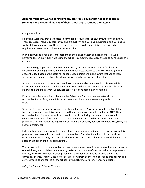## **Students must pay \$25 fee to retrieve any electronic device that has been taken up. Students must wait until the end of their school day to retrieve their item(s).**

### Computer Policy

Fellowship Academy provides access to computing resources for all students, faculty, and staff. These resources include: general office and productivity applications, educational applications as well as telecommunications. These resources are not considered a privilege but instead a requirement, access to which entails responsibility.

Individuals will be given a personal account on the planbook.com and google mail. All work performed by an individual while using the school's computing resources should be done under this account.

The Technology department at Fellowship Academy provides various services for the user including: file sharing, printing, and limited internet access. Access to these services is granted and/or limited based on the users roll or course load. Users should be aware that use of these services is logged and is subject to administrative monitoring/ review at any time.

All work stations are considered as shared workstations and expendable. For this reason it is important that all work be saved in the user's home folder or a folder for a group that the user belongs to on the file server. All network servers are considered highly available.

If a user identifies a security problem on the Fellowship Church wide area network, he is responsible for notifying a administrator; Users should not demonstrate the problem to other users.

Users must respect others' privacy and intellectual property. Any traffic from this network that traverses another network is also subject to that network's Acceptable Use Policy (AUP). Users are responsible for citing sources and giving credit to authors during the research process. All communications and information accessible via the network should be assumed to be private property. Users will honor the legal rights of software producers, network providers, copyright, and license agreements.

Individual users are responsible for their behavior and communication over school networks. It is presumed that users will comply with school standards for behavior in both physical and virtual environments. Ultimately, the network administrators and school administration will deem what is appropriate use and their decision is final.

The network administrators may deny access to resources at any time as required for maintenance or disciplinary action. Fellowship Academy makes no warranties of any kind, whether expressed or implied, for the services it is providing. Fellowship Academy will not be responsible for any damages suffered. This includes loss of data resulting from delays, non-deliveries, mis-deliveries, or service interruptions caused by the school's own negligence or user errors or omissions.

### *Using the School's Internal Network*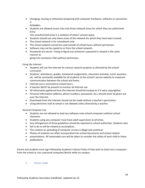• Changing, moving or otherwise tampering with computer hardware, software or connection is

forbidden.

- Students are allowed access into only those network areas for which they are authorized. Entry
	- into unauthorized areas is a violation of others' private space.
- Students should use only those areas of the network for which they have been trained.
- The school network is for schoolwork only.
- The school network cannot be used outside of school hours without permission.
- Software may not be copied to or from the school network.
- Passwords are secret. Trying to figure out someone's password is viewed in the same manner as

going into someone's files without permission.

### *Using the Internet*

- Students will use the Internet for various research projects as directed by the school curriculum.
- Students' attendance, grades, homework assignments, classroom activities, lunch vouchers, etc. will be constantly available for all students at the school's secure website to maximize communication between the school and home.
- Internet use is restricted to school hours.
- A teacher MUST be present to monitor all Internet use.
- All information gathered from the Internet should be treated as if it were copyrighted.
- Personal information (address, phone numbers, passwords, etc.) should never be given out over the Internet.
- Downloads from the Internet should not be made without a teacher's permission.
- Using electronic mail at school is not allowed unless directed by a teacher.

### *General Computer Use*

- Students are not allowed to load any software onto school computers without school clearance.
- Students using any computer must have adult supervision at all times.
- Any infringement of these guidelines should be reported to school authorities. Students who
- fail to do so will be viewed as accomplices.
- The creation or spreading of computer viruses is illegal and unethical.
- Photos of students are often incorporated into school documents and school-related
- presentations. All reasonable care will be taken to consider the safety of each child in these
- publications.

Parent and students must sign Fellowship Academy's Device Policy if they wish to check out a computer from the school or use a personal computer/device while on campus.

## <span id="page-43-0"></span>F. Dress Code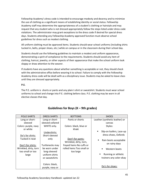Fellowship Academy's dress code is intended to encourage modesty and decency and to minimize the use of clothing as a significant means of establishing identity or social status. Fellowship Academy staff may determine the appropriateness of a student's clothing or hairstyle and may request that any student who is not dressed appropriately follow the steps listed under dress code violations. The administrator may grant exceptions to the dress code if desired for special dress days. Students attending any Fellowship Academy approved function must observe school guidelines for dress such as modest clothing.

All uniform clothing must be approved items. Students should wear school uniforms (including shirts tucked in, belts, proper shoes, etc.) while on campus or in the classroom during their school day.

Students should use the following guidelines to maintain a modest and uniform appearance, demonstrating a spirit of compliance to the requirements. Students should avoid any item of clothing, haircut, jewelry, or other aspects of their appearance that make the school uniform look sloppy or draw attention to the wearer.

If students have any questions about whether something is acceptable or not, they should check with the administrative office before wearing it to school. Failure to comply with the Fellowship Academy dress code will be dealt with as a disciplinary issue. Students may be asked to leave class until they are dressed appropriately.

## **P.E.**

The P.E. uniform is shorts or pants and any plain t-shirt or sweatshirt. Students must wear school uniforms to school and change into P.E. clothing before class. P.E. clothing may be worn in all elective classes that day.

| <b>POLO SHIRTS</b>           | <b>DRESS SHIRTS</b>                              | <b>BOTTOMS</b>                             | <b>SHOES</b>                                                       |
|------------------------------|--------------------------------------------------|--------------------------------------------|--------------------------------------------------------------------|
| Long or short-               | Long or short-                                   | Pants or shorts                            | Leather (synthetic leather) or                                     |
| sleeved                      | sleeved collared                                 |                                            | canvas                                                             |
| Colors: purple, navy         | WHITE only.                                      | Colors: black, blue or                     | Styles:                                                            |
| or white<br>Do's for shirts: | Undershirts:<br>Short-sleeved                    | khaki                                      | Slip-on loafers, Lace-up<br>$\blacksquare$<br>dress shoes, Oxfords |
| Tucked in neat               | only                                             | Don't for pants:<br>Wrinkled, dirty, torn, | Rain boots acceptable<br>$\blacksquare$<br>on rainy days           |
| Don't for shirts:            | Turtlenecks may                                  | frayed hems No cuffs or                    |                                                                    |
| Wrinkled, dirty, torn        | be worn under                                    | rolled hems Too small or                   | Western boots<br>$\blacksquare$                                    |
| too small or too<br>large    | long-sleeved<br>uniform shirts<br>or sweatshirts | too large                                  | Running or athletic<br>trainers-any color okay                     |
|                              | Colors: black,<br>purple, navy or                |                                            | Do's for shoes:                                                    |

# **Guidelines for Boys (K – 9th grades)**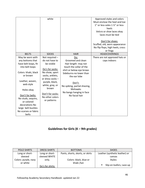|                                                                                                                                                                                                                                                                                                    | white                                                                                                                                                                                                                          |                                                                                                                                                                                                                                                       | Approved styles and colors<br>Must enclose the heel and toe<br>1" or less-soles 1 1/2" or less-<br>heels<br>Velcro or shoe laces okay<br>laces must be tied<br>Don't for shoes:<br>Scuffed, old, worn appearance<br>No flip flops, high heels, crocs<br>or frogs |
|----------------------------------------------------------------------------------------------------------------------------------------------------------------------------------------------------------------------------------------------------------------------------------------------------|--------------------------------------------------------------------------------------------------------------------------------------------------------------------------------------------------------------------------------|-------------------------------------------------------------------------------------------------------------------------------------------------------------------------------------------------------------------------------------------------------|------------------------------------------------------------------------------------------------------------------------------------------------------------------------------------------------------------------------------------------------------------------|
| <b>BELTS</b>                                                                                                                                                                                                                                                                                       | <b>SOCKS</b>                                                                                                                                                                                                                   | <b>HAIR</b>                                                                                                                                                                                                                                           | <b>HEADCOVERINGS</b>                                                                                                                                                                                                                                             |
| May be worn with<br>any bottoms that<br>have belt loops, fit<br>into belt loops<br>Colors: khaki, black<br>or brown<br>Leather, woven,<br>web style<br>Holes okay<br>Don't for belts:<br>No studs, sequins,<br>or colored<br>decorations No<br>large belt buckles<br>No scarves or fabric<br>belts | Not required -<br>do not have to<br>be visible<br>Do's for socks:<br>No show, sport<br>socks, anklets,<br>or dress socks -<br>purple, black,<br>white, gray, or<br>brown<br>Don't for socks:<br>No other colors<br>or patterns | Do:<br>Groomed and clean<br>Hair length- may not<br>touch the collar of the<br>shirt or below eye brows<br>Sideburns-no lower than<br>the ear lobe<br>Don't:<br>No spiking, partial shaving,<br>Mohawks<br>No bangs hanging in face<br>No facial hair | There are not approved hats or<br>caps indoors                                                                                                                                                                                                                   |

# **Guidelines for Girls (K – 9th grades)**

| POLO SHIRTS          | <b>DRESS SHIRTS</b> | <b>BOTTOMS</b>                   | <b>SHOES</b>                   |
|----------------------|---------------------|----------------------------------|--------------------------------|
| Long or short-       | Long or short-      | Pants, shorts, skorts, or skirts | Leather (synthetic leather) or |
| sleeved              | sleeved WHITE       |                                  | canvas                         |
| Colors: purple, navy | only.               | Colors: black, blue or           | Styles:                        |
| or white             |                     | khaki /tan                       |                                |
|                      | Do's for shirts:    |                                  | Slip-on loafers, Lace-up       |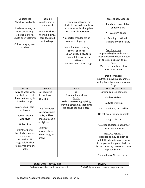| Undershirts:                           | Tucked in                             |                                                                                                                                                   | dress shoes, Oxfords                                                                                                                                                                                                                                                                |
|----------------------------------------|---------------------------------------|---------------------------------------------------------------------------------------------------------------------------------------------------|-------------------------------------------------------------------------------------------------------------------------------------------------------------------------------------------------------------------------------------------------------------------------------------|
| Short-sleeved only                     | purple, navy or                       | Legging are allowed, but                                                                                                                          |                                                                                                                                                                                                                                                                                     |
|                                        | white neat                            | students backside needs to                                                                                                                        | Rain boots acceptable                                                                                                                                                                                                                                                               |
| Turtlenecks may be                     |                                       | be covered with a long shirt                                                                                                                      | on rainy days                                                                                                                                                                                                                                                                       |
| worn under long-<br>sleeved uniform    | Don't for shirts:<br>Wrinkled, dirty, | or a pair of shorts/skirt                                                                                                                         | Western boots                                                                                                                                                                                                                                                                       |
| shirts or sweatshirts                  | torn too small<br>or too large        | No shorter than length of<br>wearer's fingertips                                                                                                  | Running or athletic                                                                                                                                                                                                                                                                 |
| Colors: purple, navy                   |                                       |                                                                                                                                                   | trainers-any color okay                                                                                                                                                                                                                                                             |
| or white                               |                                       | Don'ts for Pants, shorts,<br>skorts, or skirts:<br>No wrinkled, dirty, torn,<br>frayed fabric, or wear<br>patterns,<br>Not too small or too large | Do's for shoes:<br>Approved styles and colors<br>Must enclose the heel and toe<br>1" or less-soles 1 1/2" or less-<br>heels<br>Velcro or shoe laces okay<br>laces must be tied<br>Don't for shoes:<br>Scuffed, old, worn appearance<br>No flip flops, high heels, crocs or<br>frogs |
| <b>BELTS</b>                           | <b>SOCKS</b>                          | <b>HAIR</b>                                                                                                                                       | <b>OTHER DECORATION</b>                                                                                                                                                                                                                                                             |
| May be worn with                       | Not required -                        | Do:                                                                                                                                               | Natural colored contacts                                                                                                                                                                                                                                                            |
| any bottoms that                       | do not have to                        | Groomed and clean                                                                                                                                 |                                                                                                                                                                                                                                                                                     |
| have belt loops, fit                   | be visible                            | Don't:                                                                                                                                            | Modest Makeup                                                                                                                                                                                                                                                                       |
| into belt loops                        |                                       | No bizarre coloring, spiking,<br>shaving, streaking,, Mohawks                                                                                     | No Goth makeup                                                                                                                                                                                                                                                                      |
| Colors: khaki, black<br>or brown       | Do's for socks:                       | No bangs hanging in face                                                                                                                          | No face painting or sparkles                                                                                                                                                                                                                                                        |
| Leather, woven,                        | No-show, sport<br>socks, anklets,     |                                                                                                                                                   | No cat-eye or exotic contacts                                                                                                                                                                                                                                                       |
| web style                              | knee high socks<br>or tights-         |                                                                                                                                                   | No gag glasses                                                                                                                                                                                                                                                                      |
| Holes okay                             |                                       |                                                                                                                                                   | No other additions not part of                                                                                                                                                                                                                                                      |
| Don't for belts:<br>No studs, sequins, | Leggings-                             |                                                                                                                                                   | the school uniform                                                                                                                                                                                                                                                                  |

| Outer wear – boys & girls            | Jewelry                                   |
|--------------------------------------|-------------------------------------------|
| Pull over sweaters and sweaters with | Girls Only: at most, two earrings per ear |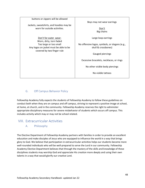| buttons or zippers will be allowed                                   | Boys may not wear earrings                     |
|----------------------------------------------------------------------|------------------------------------------------|
| Jackets, sweatshirts, and hoodies may be                             |                                                |
| worn for outside activities.                                         | Don't<br>Big chains                            |
|                                                                      |                                                |
| Don't for outer wear:<br>Worn, dirty, torn faded                     | Large loop earrings                            |
| Too large or too small                                               | No offensive logos, symbols, or slogans (e.g., |
| Any logos on jacket must be able to be<br>covered by two finger rule | skull & crossbones)                            |
|                                                                      | Gauged piercings                               |
|                                                                      | Excessive bracelets, necklaces, or rings       |
|                                                                      | No other visible body piercings                |
|                                                                      | No visible tattoos                             |
|                                                                      |                                                |

# <span id="page-47-0"></span>G. Off Campus Behavior Policy

Fellowship Academy fully expects the students of Fellowship Academy to follow these guidelines on conduct both when they are on campus and off campus, striving to represent a positive image at school, at home, at church, and in the community. Fellowship Academy reserves the right to administer appropriate disciplinary measures for severe misbehavior of students which occurs off campus. This includes activity which may or may not be school related.

# <span id="page-47-2"></span><span id="page-47-1"></span>VIII. Extracurricular Activities

## A. Philosophy

The Elective Department of Fellowship Academy partners with families in order to provide an excellent education and make disciples of Jesus who are equipped to influence the world in a way that brings glory to God. We believe that participation in extracurricular activities helps our students become more well-rounded individuals who will be well-prepared to serve the Lord in our community. Fellowship Academy Elective Department believes that through the mastery of the skills and knowledge of these disciplines students may worship God and appreciate His creation more deeply and using their own talents in a way that would glorify our creative Lord.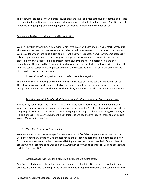The following lists goals for our extracurricular program. This list is meant to give perspective and create a foundation for making each program an extension of our goal at Fellowship: to assist Christian parents in educating, equipping, and encouraging their children to influence the world for Christ.

## Our main objective is to bring glory and honor to God.

We as a Christian school should be obviously different in our attitudes and actions. Unfortunately, it is all too often the case that many observers may be turned away from our Lord because of our conduct. We are called by our Lord to be a light on a hill in the contest. Granted, we will suffer some setbacks in this high goal, yet we need to continually encourage our performers and directors to pursue the elevation of Christ's reputation. Realistically, some students are not in a position to make this commitment. They should be "coached" in such a way that their attitude or behavior will not hinder this goal. We cannot compromise for perceived benefit or success. As a result of our main objective, we strive to demonstrate the following:

## *1. A person's worth and performance should not be linked together.*

The Bible instructs us not to place our worth in circumstances but in the position we have in Christ. Therefore, success needs to be evaluated on the type of people we are producing, on the characteristics and qualities our students are claiming for themselves, and not on our title determined at competition.

## *2. As authorities established by God, judges, ref and officials receive our honor and respect.*

All authority comes from God (I Peter 2:13). Often times, human authorities make human mistakes which have a negative impact on us. Our response to this "injustice" is of great importance to God. Do our groups learn from the directors NOT to blame judges or complain about performing conditions, etc. (Philippians 2:14)? We cannot change the conditions, so we need to live "above" them and let people see a difference (Romans 5:8).

## *3. Allow God to grant victory or defeat.*

We must not equate an awesome performance as proof of God's blessing or approval. We must be willing to endure any situation God chooses for us and accept it as part of His omnipotence and plan. God is more concerned with the process of attaining success than the success itself. Our emphasis in this area is two-fold: prepare to do well and give 100%; then allow God to exercise His will and accept that joyfully. (Hebrews 12:1)

## *4. Extracurricular Activities are a tool to help educate the whole person.*

Our God created many tools that are intended to teach us about life. Drama, music, academics, and athletics are a few. We strive to provide an environment through which God's truths can be effectively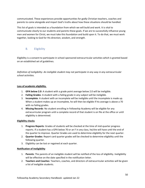communicated. These experiences provide opportunities for godly Christian teachers, coaches and parents to come alongside and impart God's truths about how these situations should be handled.

This list of goals is intended as a foundation from which we will build and work. It is vital to communicate clearly to our students and parents these goals. If we are to successfully influence young men and women for Christ, we must take this foundation and build upon it. To do that, we must work together, looking to God for His direction, wisdom, and strength.

# <span id="page-49-0"></span>B. Eligibility

Eligibility is a consent to participate in school-sponsored extracurricular activities which is granted based on an established set of guidelines.

*Definition of ineligibility- An ineligible student may not participate in any way in any extracurricular school activities.* 

## **Loss of academic eligibility.**

- 1. **GPA below 2.0**: A student with a grade point average below 2.0 will be ineligible.
- 2. **Failing Grades**: A student with a failing grade in any subject will be ineligible.
- 3. **Incomplete**: A student with an incomplete will be ineligible until the incomplete is made up. When a student makes up an incomplete, he will then be eligible if his average is above a 70 with no failing grades.
- 4. **Missing Records**: No student enrolling in Fellowship Academy will be eligible for any extracurricular program until a complete record of that student is on file at the office or until eligibility is determined.

## **Eligibility checks**

- 1. **Progress Reports**: Grades of students will be checked at the time of mid-quarter progress reports. If a student has a GPA below 70 or an F in any class, he/she will have until the end of the quarter to improve. Quarter Grades are used to determine eligibility for the next quarter.
- 2. **Quarter Grades**: Report card quarter grades will be checked to determine eligibility until the following quarter.
- 3. Eligibility can be lost or regained at each quarter.

### **Notification of Ineligibility**

- 1. **Parents**: The parents of an ineligible student will be notified of the loss of eligibility. Ineligibility will be effective on the date specified in the notification letter.
- 2. **Teachers and Coaches**: Teachers, coaches, and directors of extracurricular activities will be given a list of ineligible students.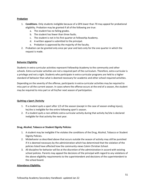### **Probation**

- 1. **Conditions**. Only students ineligible because of a GPA lower than 70 may appeal for probational eligibility. Probation may be granted if all of the following are true:
	- a. The student has no failing grades.
	- b. The student has fewer than three faults.
	- c. The student is not in his first quarter at Fellowship Academy.
	- d. A written appeal is submitted to the principal.
	- e. Probation is approved by the majority of the faculty.
- 2. Probation can be granted only once per year and lasts only for the one quarter in which the request is made.

### **Behavior Eligibility**

Students in extra-curricular activities represent Fellowship Academy to the community and other schools. Extra-curricular activities are not a required part of the curriculum. Therefore, extra-curricular is a privilege and not a right. Students who participate in extra-curricular programs are held to a higher standard of behavior than what is deemed necessary for academic and other school-required activities.

Depending on the severity of the offense, participants in extra-curricular activities may be required to miss part or all the current season. In cases where the offense occurs at the end of a season, the student may be required to miss part or all his/her next season of participation.

### **Quitting a Sport /Activity**

- 1. If a student quits a sport after 1/3 of the season (except in the case of season ending injury), he/she is ineligible for the entire following sport's season.
- 2. If a student quits a non-athletic extra-curricular activity during that activity he/she is declared ineligible for that activity the next year.

### **Drug, Alcohol, Tobacco or Student Dignity Policies**:

- 1. A student may be ineligible if he violates the conditions of the Drug, Alcohol, Tobacco or Student Dignity Policies.
- 2. Misbehavior as described above that occurs outside the season of activity may still be punished if it is deemed necessary by the administration which has determined that the violation of the policies listed have affected how the community views Calvin Christian School.
- 3. All discipline for behavior will be at the discretion of the administration in accord with existing school policies. Parents may appeal the decisions of the principal with regard to any violations of the above eligibility requirements to the superintendent and decisions of the superintendent to the school board.

### **Attendance Eligibility.**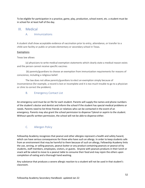To be eligible for participation in a practice, game, play, production, school event, etc. a student must be in school for at least half of the day.

# <span id="page-51-1"></span><span id="page-51-0"></span>IX. Medical

## A. Immunizations

A student shall show acceptable evidence of vaccination prior to entry, attendance, or transfer to a child-care facility or public or private elementary or secondary school in Texas.

## Exemptions

## Texas law allows

(a) physicians to write medical exemption statements which clearly state a medical reason exists and the person cannot receive specific vaccines

(b) parents/guardians to choose an exemption from immunization requirements for reasons of conscience, including a religious belief.

The law does not allow parents/guardians to elect an exemption simply because of inconvenience (for example, a record is lost or incomplete and it is too much trouble to go to a physician or clinic to correct the problem).

# <span id="page-51-2"></span>B. Emergency Contact List

An emergency card must be on file for each student. Parents will supply the names and phone numbers of the student's doctor and dentist and inform the school if the student has special medical problems or needs. Parents need to list three friends or relatives who can be contacted in the event of an emergency. Parents may also grant the school permission to dispense Tylenol or aspirin to the student. Without specific written permission, the school will not be able to dispense either.

# <span id="page-51-3"></span>C. Allergen Policy

Fellowship Academy recognizes that peanut and other allergies represent a health and safety hazard, which can have serious consequences for those who have such an allergy. In order to keep students safe from an environment that may be harmful to them because of such an allergy, Fellowship Academy linits the use, serving, or selling peanuts, peanut butter or any product containing peanuts or peanut oil by students, staff members, employees, visitors, or guests. Anyone with peanuts products in their lunch or snack will be asked to move to a peanut table to consume their food and may rejoin the others upon completion of eating and a thorough hand washing.

Any substance that produces a severe allergic reaction to a student will not be used in that student's classroom.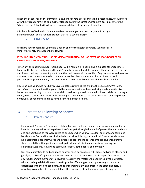When the School has been informed of a student's severe allergy, through a doctor's note, we will work with the student's family to take further steps to assure the safest environment possible. Where the School can, the School will follow the recommendations of the student's doctor.

<span id="page-52-0"></span>It is the policy of Fellowship Academy to keep an emergency action plan, submitted by a parent/guardian, on file for each student that has a severe allergy.

## D. **Illness Policy**

We share your concern for your child's health and for the health of others. Keeping this in mind, we strongly encourage the following:

## **IF YOUR CHILD IS VOMITING, HAS SIGNIFICANT DIARRHEA, OR HAS FEVER OF 100.5 DEGREES OR ABOVE, PLEASEKEEP HIM/HER HOME!**

When any child attends school feeling poorly, it is hard on his health, and it exposes others to illness. Poor health also adversely affects the child's ability to learn. If a child becomes ill during the day, he/she may be excused to go home. A parent or authorized person will be notified. Only pre-authorized persons may transport students from school. Please remember that in the event of an accident, school personnel can give emergency care only. Parents are responsible for any additional care needed.

Please be sure your child has fully recovered before returning the child to the classroom. We follow doctor's recommendations that your child be fever free (without fever reducing medication) for 24 hours before returning to school. If your child is well enough to do some school work while recovering at home, please contact the school in the morning or send a note to the child's teacher. You may pick up homework, or you may arrange to have it sent home with a sibling.

# <span id="page-52-2"></span><span id="page-52-1"></span>X. Parents at Fellowship Academy

## A. Parent Conduct

Ephesians 4:2-6 states, " Be completely humble and gentle, be patient, bearing with one another in love. Make every effort to keep the unity of the Spirit through the bond of peace. There is one body and one Spirit, just as you were called to one hope when you were called; one Lord, one faith, one baptism, one God and Father of all, who is over all and through all and in all." Just as students are held accountable for their words and actions, so too, are the parents of those students. Parents should model humility, gentleness, and spiritual maturity to their students by treating the Fellowship Academy faculty and staff with respect, both publicly and privately.

Our communication to and about one another must be seasoned with grace, edifying to others, and glorifying to God. If a parent (or student) acts or speaks in an unkind or disrespectful manner to or any faculty or staff member at Fellowship Academy, the matter will be taken up by the Director, who according to biblical instruction will give the offending party an opportunity to reconcile differences with the offended party, thus encouraging unity and grace. If the offending party is unwilling to comply with these guidelines, the student(s) of that parent or parents may be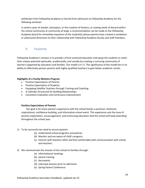withdrawn from Fellowship Academy or barred from admission to Fellowship Academy for the following semester.

In severe cases of slander, disrespect, or the creation of factions, or sowing seeds of discord within the school community or community at large, a recommendation can be made to the Fellowship Academy board for immediate expulsion of the student(s) whose parents have created a combative or adversarial dimension to their relationship with Fellowship Academy faculty and staff members.

# <span id="page-53-0"></span>B. Equipping

Fellowship Academy's mission is to provide a Christ centered education and equip the students to reach their unique potential spiritually, academically, and socially by creating a nurturing community of learners supported by educators and families. Our model is 4 +1. The significance of this model lies in its ability to effectively partner parents with highly qualified teachers to gain better academic results.

### **Highlights of a Family Ministry Program**

- Positive Expectations of Parents
- Positive Expectation of Students
- Equipping Satellite Teachers through Training and Coaching
- A Calendar Structured for Building Relationships
- Consistent Evaluation and Continuous Improvement

## **Positive Expectations of Parents**

Our goal is for every parent's experience with the school family is practical, relational, inspirational, confidence-building, and informative school event. This experience sets the tone of positive expectation, encouragement, and continuing education that the school will keep extending throughout the school year.

## 1) To be successful we need to ensure parents:

- (a) Understand school programs and policies.
- (b) Monitor and are aware of child's progress
- (c) Interact with teachers often and feel comfortable with communication with school and teachers.
- 2) We communicate the mission of the school to families through:
	- (a) informational meetings
	- (b) parent training
	- (c) documents
	- (d) interview process prior to admission
	- (e) Spring Parent Conference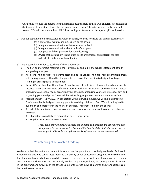Our goal is to equip the parents to be the first and best teachers of their own children. We encourage the training of their student with the end goal in mind—raising them to become Godly men and women. We help them learn their child's heart and get to know his or her special gifts and passion.

- 2) For our population to be successful as Parent Teachers, we need to ensure our parents teachers are:
	- (a) Comfortable with technologies used by the school
	- (b) In regular communication with teachers and school
	- (c) In regular communication about student's progress
	- (d) Equipped with best practices for home learning
	- (e) Aware that learning styles and study needs are personal and different for each individual child even within a family
- 3) We prepare families for co-teaching of their students by:
	- a) The first and foremost resource is the Holy Bible as applied in the school's statement of faith and guiding principles.
	- b) All Parent Training Night- All Parents attend a Back To School Training: There are multiple breakout training sessions offered for the parents to choose. Each session is designed for target training in areas specific to their needs.
	- c) (future) Parent Panel for Home Days A panel of parents will discuss tips and tricks to making the satellite school days run more efficiently. Parents will lead this training on the following topics: organizing your school room, organizing your schedule, organizing your satellite school day, and organizing your meal plans. There will be a time for group discussion and a time for Q &A's.
	- d) Parent Seminar (NEW 2022) In connection with Fellowship Church we will hold a parenting Conference that is designed to equip parents in raising children of God. We will be inspired to build faith and character in the hearts of our kids. This event is held in the spring.
	- e) As part of the admissions process to our school, parents are encouraged to read the following two books:
		- i) Character Driven College Preparation by Dr. John Turner
		- ii) Kingdom Education by Glen Schultz

*These tools provide a framework for the ongoing conversation the school conducts with parents for the honor of the Lord and the benefit of the students. As we discover new or preferable tools, the updates the list of required resources as needed.*

# <span id="page-54-0"></span>C. Volunteering at Fellowship Academy

We believe that the best advertisement for our school is a parent who is actively involved at Fellowship Academy and one who can witness firsthand the quality of our educational programs. We also believe that the most balanced education a child can receive involves the school, parent, grandparents, church and community. The school seeks to actively involve the parents, siblings, and grandparents of students in the programs and activities of the school. Some of the areas in which parents and grandparents can become involved include: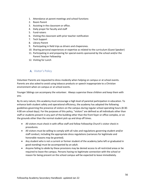- 1. Attendance at parent meetings and school functions
- 2. Room Parent
- 3. Assisting in the classroom or office.
- 4. Daily prayer for faculty and staff
- 5. Fund-raisers
- 6. Visiting the classroom with prior teacher notification
- 7. Tech Support
- 8. Library Parent
- 9. Participating in field trips as drivers and chaperones.
- 10. Sharing personal experiences or expertise as related to the curriculum (Guest Speaker)
- 11. Participating in and preparing for special events sponsored by the school and/or the Parent Teacher Fellowship
- 12. Visiting for Lunch

# A. Visitor's Policy

<span id="page-55-0"></span>Volunteer Parents are requested to dress modestly when helping on campus or at school events. Parents are also asked to avoid using tobacco products or speech inappropriate to a Christian environment when on campus or at school events.

Younger Siblings can accompany the volunteer. Always supervise these children and keep them with you.

By its very nature, this academy must encourage a high level of parental participation in education. To enhance both student safety and operational efficiency, the academy has adopted the following guidelines governing the presence of visitors on the campus during regular school operating hours (8:30- 4:00 om school days). For the purposes of this policy, "visitors" are defined as all individuals other than staff or students present in any part of the building other than the front foyer or office complex, or on the grounds other than the normal student pick up and drop off times.

- All visitors must check in with office staff and follow Fellowship Church's visitor check in procedures.
- All visitors must be willing to comply with all rules and regulations governing student and/or staff conduct, including the appropriate dress regulations (variances for legitimate and honorable reasons may be granted).
- Any student who is not a current or former student of the academy (who left or graduated in good standing) must be accompanied by an adult.
- Anyone failing to abide by these provisions may be denied access to all restricted areas or be required to leave the campus. Persons having no legitimate connection with the school or reason for being present on the school campus will be expected to leave immediately.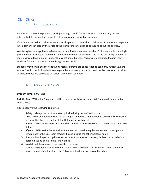# <span id="page-56-1"></span><span id="page-56-0"></span>XI. Other

## A. Lunches and snack

Parents are required to provide a lunch (including a drink) for their student. Lunches may not be refrigerated. Items must be brought that do not require special preparations.

If a student has no lunch, the student may call a parent to have a lunch delivered. Students who expect a lunch delivery can stop by the office at the start of the lunch period to inquire about the delivery.

We strongly encourage balanced meals of natural foods whenever possible. Fruits, vegetables, and high protein foods will not just feed your student but also nourish him/her. Due to the possibility of adverse reactions from food allergies, students may not share lunches. Parents are encouraged to join their students for lunch. Students should bring a water bottle.

Students may bring a snack to eat during recess. Parents are encouraged to send only nutritious, light snacks. Snacks may include fruit, raw vegetables, crackers, granola bars and the like. No sodas or drinks with heavy dyes are permitted (if spilled, they might stain floors).

# <span id="page-56-2"></span>B. Drop off and Pick Up

## **Drop Off Time:** 8:00 - 8:15

**Pick Up Time**: Within the 15 minutes of the end of school day for your child. (times will vary based on course load)

Please observe the following guidelines:

- 1. Safety is always the most important priority during drop off and pick up.
- 2. Drive slowly and defensively in our parking lot and please do not ever assume that the children see you! We share the parking lot with the preschool parents.
- 3. Parents are expected to pick up their child on time or notify the office if there is an unavoidable delay.
- 4. If your child is to ride home with someone other than the regularly scheduled driver, please send a note to the classroom teacher. Please include the other person's name.
- 5. If a child is to be picked up by someone other than a parent on a regular basis, a record of that person must be on file in the school office.
- 6. No child will be released to an unauthorized adult.
- 7. Secondary students may leave when their classes are done. These students are expected to leave campus when they leave the Fellowship Academy portions of the school.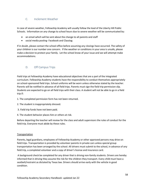# <span id="page-57-0"></span>C. Inclement Weather

In case of severe weather, Fellowship Academy will usually follow the lead of the Liberty Hill Public Schools. Information on any change to school hours due to severe weather will be communicated by:

- an email which will be sent about the change to all parents and staff
- social media posting- Facebook and Classtag

If in doubt, please contact the school office before assuming any closings have occurred. The safety of your children is our number one concern. If the weather or conditions in your area is unsafe, please make a decision to protect your family. Let the school know of your issue and we will attempt make accommodations.

# <span id="page-57-1"></span>D. Off Campus Trips

Field trips at Fellowship Academy have educational objectives that are a part of the integrated curriculum. Fellowship Academy students have the responsibility to conduct themselves appropriately on school-sponsored field trips. School uniforms will be worn unless otherwise stated by the teacher. Parents will be notified in advance of all field trips. Parents must sign the field trip permission slip. Students are expected to go on all field trips with their class. A student will not be able to go in a field trip if:

- 1. The completed permission form has not been returned.
- 2. The student is inappropriately dressed.
- 3. Field trip funds have not been paid.
- 4. The student behavior places him or others at risk.

Before departing the teacher will review for the class and adult supervisors the rules of conduct for the field trip. Everyone must abide by these rules.

### **Transportation**

Parents, legal guardians, employees of Fellowship Academy or other approved persons may drive on field trips. Transportation is provided by volunteer parents in private cars unless special group transportation has been arranged by the school. All drivers must submit to the school, in advance of any field trip, a completed volunteer and a copy of driver's license and insurance card.

A background check be completed for any driver that is driving non-family students. Drivers are hereby informed that in driving they assume the risk for the children they transport. Every child must have a seatbelt/restraint as dictated by Texas law. Drivers should arrive early with the vehicle in good condition.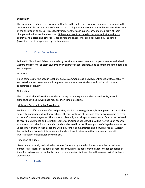#### **Supervision**

The classroom teacher is the principal authority on the field trip. Parents are expected to submit to this authority. It is the responsibility of the teacher to delegate supervision in a way that ensures the safety of the children at all times. It is especially important for each supervisor to maintain sight of their charges and follow teacher directions. Siblings are permitted on school-sponsored trips with prior approval. Admission and other costs for drivers and chaperones are not covered by the school (exceptions must be approved by the headmaster).

## <span id="page-58-0"></span>E. Video Surveillance

Fellowship Church and Fellowship Academy use video cameras on school property to ensure the health, welfare and safety of all staff, students and visitors to school property, and to safeguard school facilities and equipment.

#### **Locations**

Video cameras may be used in locations such as common areas, hallways, entrances, exits, sanctuary, and exterior areas. No camera will be placed in an area where students and staff would have an expectation of privacy.

#### Notification

The school shall notify staff and students through student/parent and staff handbooks, as well as signage, that video surveillance may occur on school property.

### Violations Recorded Under Surveillance

Students or staff in violation of Board policies, administrative regulations, building rules, or law shall be subject to appropriate disciplinary action. Others in violation of state and federal laws may be referred to law enforcement agencies. The school shall comply with all applicable state and federal laws related to record maintenance and retention. Camera surveillance at Fellowship will be viewed upon report or evidence of misbehavior or vandalism and may be used in school investigation of alleged misconduct or vandalism. Viewing in such situations will be by school administration and a church officials. At least two individuals from administration and the church are to view surveillance in connection with investigation of misbehavior or vandalism.

### Retention of Videos

Records are normally maintained for at least 3 months by the school upon which the records are purged. Any records of incidents or records surrounding incidents may be kept for a longer period of time. Records connected with misconduct of a student or staff member will become part of student or staff records.

### <span id="page-58-1"></span>F. Parties